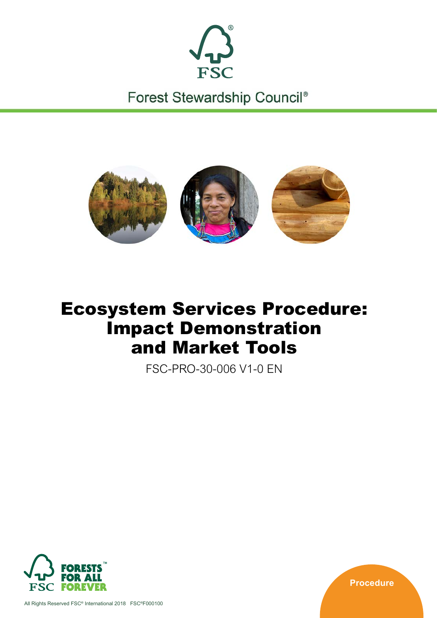

Forest Stewardship Council®



# Ecosystem Services Procedure: Impact Demonstration and Market Tools

FSC-PRO-30-006 V1-0 EN



**Procedure**

All Rights Reserved FSC® International 2018 FSC®F000100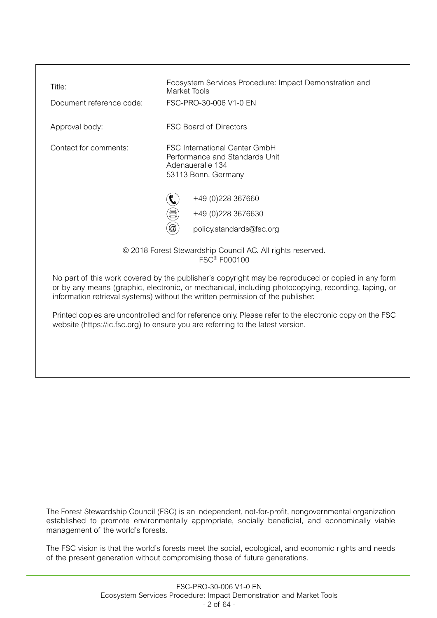| Title:                                                                                                                                                                                                                                                                                     | Ecosystem Services Procedure: Impact Demonstration and<br>Market Tools                                            |  |  |  |
|--------------------------------------------------------------------------------------------------------------------------------------------------------------------------------------------------------------------------------------------------------------------------------------------|-------------------------------------------------------------------------------------------------------------------|--|--|--|
| Document reference code:                                                                                                                                                                                                                                                                   | FSC-PRO-30-006 V1-0 EN                                                                                            |  |  |  |
| Approval body:                                                                                                                                                                                                                                                                             | <b>FSC Board of Directors</b>                                                                                     |  |  |  |
| Contact for comments:                                                                                                                                                                                                                                                                      | <b>FSC International Center GmbH</b><br>Performance and Standards Unit<br>Adenaueralle 134<br>53113 Bonn, Germany |  |  |  |
|                                                                                                                                                                                                                                                                                            | +49 (0) 228 367660                                                                                                |  |  |  |
|                                                                                                                                                                                                                                                                                            | 倡<br>+49 (0) 228 3676630                                                                                          |  |  |  |
|                                                                                                                                                                                                                                                                                            | @<br>policy.standards@fsc.org                                                                                     |  |  |  |
| © 2018 Forest Stewardship Council AC. All rights reserved.<br><b>FSC<sup>®</sup></b> F000100                                                                                                                                                                                               |                                                                                                                   |  |  |  |
| No part of this work covered by the publisher's copyright may be reproduced or copied in any form<br>or by any means (graphic, electronic, or mechanical, including photocopying, recording, taping, or<br>information retrieval systems) without the written permission of the publisher. |                                                                                                                   |  |  |  |
| Printed copies are uncontrolled and for reference only. Please refer to the electronic copy on the FSC<br>website (https://ic.fsc.org) to ensure you are referring to the latest version.                                                                                                  |                                                                                                                   |  |  |  |

The Forest Stewardship Council (FSC) is an independent, not-for-profit, nongovernmental organization established to promote environmentally appropriate, socially beneficial, and economically viable management of the world's forests.

The FSC vision is that the world's forests meet the social, ecological, and economic rights and needs of the present generation without compromising those of future generations.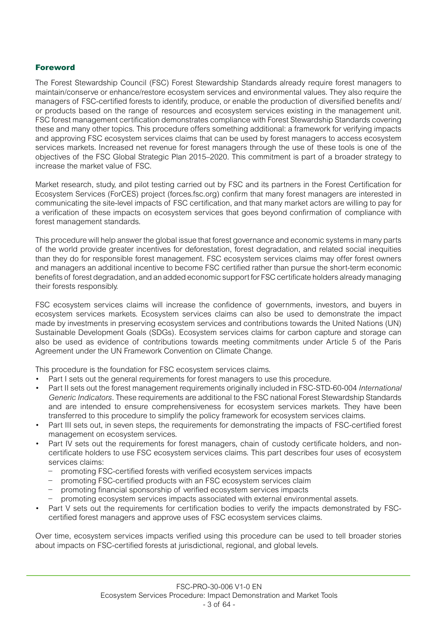# Foreword

The Forest Stewardship Council (FSC) Forest Stewardship Standards already require forest managers to maintain/conserve or enhance/restore ecosystem services and environmental values. They also require the managers of FSC-certified forests to identify, produce, or enable the production of diversified benefits and/ or products based on the range of resources and ecosystem services existing in the management unit. FSC forest management certification demonstrates compliance with Forest Stewardship Standards covering these and many other topics. This procedure offers something additional: a framework for verifying impacts and approving FSC ecosystem services claims that can be used by forest managers to access ecosystem services markets. Increased net revenue for forest managers through the use of these tools is one of the objectives of the FSC Global Strategic Plan 2015–2020. This commitment is part of a broader strategy to increase the market value of FSC.

Market research, study, and pilot testing carried out by FSC and its partners in the Forest Certification for Ecosystem Services (ForCES) project ([forces.fsc.org\)](http://forces.fsc.org/) confirm that many forest managers are interested in communicating the site-level impacts of FSC certification, and that many market actors are willing to pay for a verification of these impacts on ecosystem services that goes beyond confirmation of compliance with forest management standards.

This procedure will help answer the global issue that forest governance and economic systems in many parts of the world provide greater incentives for deforestation, forest degradation, and related social inequities than they do for responsible forest management. FSC ecosystem services claims may offer forest owners and managers an additional incentive to become FSC certified rather than pursue the short-term economic benefits of forest degradation, and an added economic support for FSC certificate holders already managing their forests responsibly.

FSC ecosystem services claims will increase the confidence of governments, investors, and buyers in ecosystem services markets. Ecosystem services claims can also be used to demonstrate the impact made by investments in preserving ecosystem services and contributions towards the United Nations (UN) Sustainable Development Goals (SDGs). Ecosystem services claims for carbon capture and storage can also be used as evidence of contributions towards meeting commitments under Article 5 of the Paris Agreement under the UN Framework Convention on Climate Change.

This procedure is the foundation for FSC ecosystem services claims.

- Part I sets out the general requirements for forest managers to use this procedure.
- Part II sets out the forest management requirements originally included in FSC-STD-60-004 *International Generic Indicators*. These requirements are additional to the FSC national Forest Stewardship Standards and are intended to ensure comprehensiveness for ecosystem services markets. They have been transferred to this procedure to simplify the policy framework for ecosystem services claims.
- Part III sets out, in seven steps, the requirements for demonstrating the impacts of FSC-certified forest management on ecosystem services.
- Part IV sets out the requirements for forest managers, chain of custody certificate holders, and noncertificate holders to use FSC ecosystem services claims. This part describes four uses of ecosystem services claims:
	- − promoting FSC-certified forests with verified ecosystem services impacts
	- promoting FSC-certified products with an FSC ecosystem services claim
	- − promoting financial sponsorship of verified ecosystem services impacts
	- − promoting ecosystem services impacts associated with external environmental assets.
- Part V sets out the requirements for certification bodies to verify the impacts demonstrated by FSCcertified forest managers and approve uses of FSC ecosystem services claims.

Over time, ecosystem services impacts verified using this procedure can be used to tell broader stories about impacts on FSC-certified forests at jurisdictional, regional, and global levels.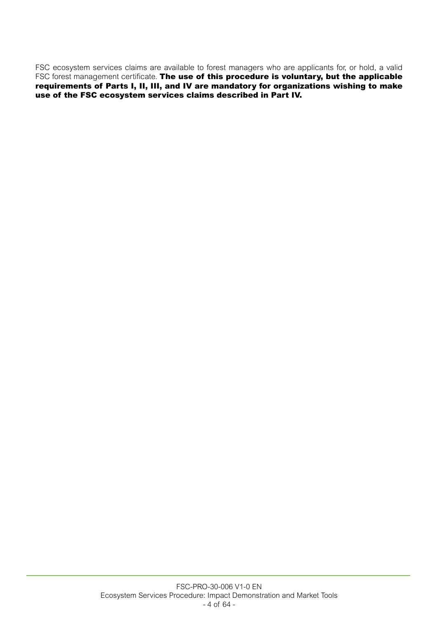FSC ecosystem services claims are available to forest managers who are applicants for, or hold, a valid FSC forest management certificate. The use of this procedure is voluntary, but the applicable requirements of Parts I, II, III, and IV are mandatory for organizations wishing to make use of the FSC ecosystem services claims described in Part IV.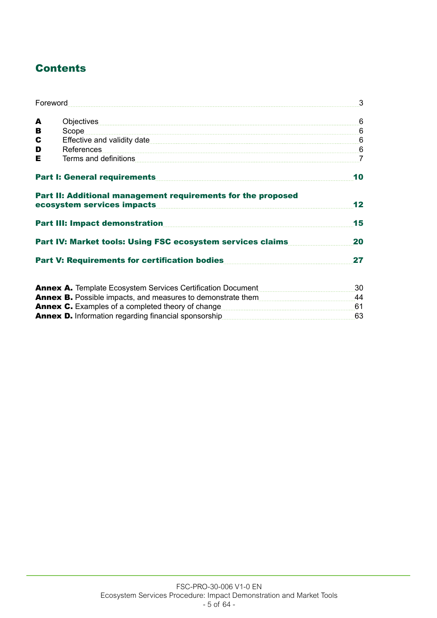# **Contents**

|   |                                                                                                                                                                                                                                      | 3  |
|---|--------------------------------------------------------------------------------------------------------------------------------------------------------------------------------------------------------------------------------------|----|
| A |                                                                                                                                                                                                                                      |    |
| В |                                                                                                                                                                                                                                      |    |
| C | Effective and validity date <b>contract to the contract of the contract of the contract of the contract of the contract of the contract of the contract of the contract of the contract of the contract of the contract of the c</b> |    |
| D | References                                                                                                                                                                                                                           |    |
| Е |                                                                                                                                                                                                                                      |    |
|   |                                                                                                                                                                                                                                      | 10 |
|   | Part II: Additional management requirements for the proposed                                                                                                                                                                         | 12 |
|   |                                                                                                                                                                                                                                      | 15 |
|   |                                                                                                                                                                                                                                      | 20 |
|   |                                                                                                                                                                                                                                      | 27 |
|   |                                                                                                                                                                                                                                      | 30 |

| <b>ATTIGA AT TUITPIQUE LUUSYSIUIT UUI VIUUS UUI (IIIUQIIUIT DUUQITIUT</b> ) | <u>vv</u> |
|-----------------------------------------------------------------------------|-----------|
| <b>Annex B.</b> Possible impacts, and measures to demonstrate them          | 44        |
| <b>Annex C.</b> Examples of a completed theory of change                    |           |
| <b>Annex D.</b> Information regarding financial sponsorship                 | 63        |
|                                                                             |           |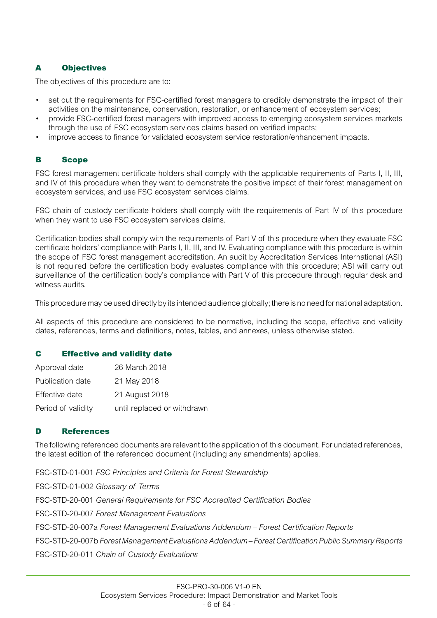# A Objectives

The objectives of this procedure are to:

- set out the requirements for FSC-certified forest managers to credibly demonstrate the impact of their activities on the maintenance, conservation, restoration, or enhancement of ecosystem services;
- provide FSC-certified forest managers with improved access to emerging ecosystem services markets through the use of FSC ecosystem services claims based on verified impacts;
- improve access to finance for validated ecosystem service restoration/enhancement impacts.

# B Scope

FSC forest management certificate holders shall comply with the applicable requirements of Parts I, II, III, and IV of this procedure when they want to demonstrate the positive impact of their forest management on ecosystem services, and use FSC ecosystem services claims.

FSC chain of custody certificate holders shall comply with the requirements of Part IV of this procedure when they want to use FSC ecosystem services claims.

Certification bodies shall comply with the requirements of Part V of this procedure when they evaluate FSC certificate holders' compliance with Parts I, II, III, and IV. Evaluating compliance with this procedure is within the scope of FSC forest management accreditation. An audit by Accreditation Services International (ASI) is not required before the certification body evaluates compliance with this procedure; ASI will carry out surveillance of the certification body's compliance with Part V of this procedure through regular desk and witness audits.

This procedure may be used directly by its intended audience globally; there is no need for national adaptation.

All aspects of this procedure are considered to be normative, including the scope, effective and validity dates, references, terms and definitions, notes, tables, and annexes, unless otherwise stated.

# C Effective and validity date

| Approval date      | 26 March 2018               |
|--------------------|-----------------------------|
| Publication date   | 21 May 2018                 |
| Effective date     | 21 August 2018              |
| Period of validity | until replaced or withdrawn |

# D References

The following referenced documents are relevant to the application of this document. For undated references, the latest edition of the referenced document (including any amendments) applies.

FSC-STD-01-001 *FSC Principles and Criteria for Forest Stewardship* FSC-STD-01-002 *Glossary of Terms* FSC-STD-20-001 *General Requirements for FSC Accredited Certification Bodies* FSC-STD-20-007 *Forest Management Evaluations* FSC-STD-20-007a *Forest Management Evaluations Addendum – Forest Certification Reports* FSC-STD-20-007b *Forest Management Evaluations Addendum – Forest Certification Public Summary Reports* FSC-STD-20-011 *Chain of Custody Evaluations*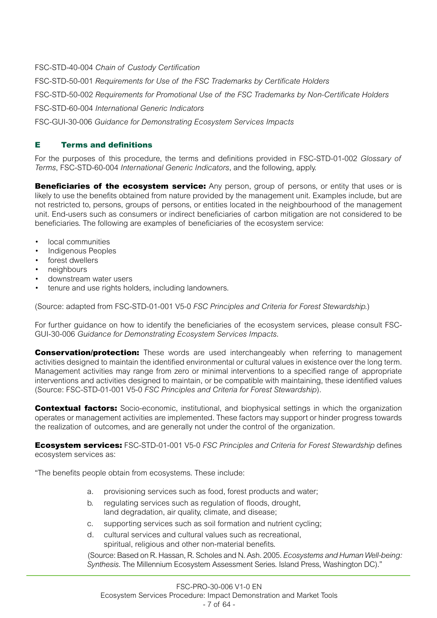FSC-STD-40-004 *Chain of Custody Certification*

FSC-STD-50-001 *Requirements for Use of the FSC Trademarks by Certificate Holders* FSC-STD-50-002 *Requirements for Promotional Use of the FSC Trademarks by Non-Certificate Holders* FSC-STD-60-004 *International Generic Indicators* FSC-GUI-30-006 *Guidance for Demonstrating Ecosystem Services Impacts*

# E Terms and definitions

For the purposes of this procedure, the terms and definitions provided in FSC-STD-01-002 *Glossary of Terms*, FSC-STD-60-004 *International Generic Indicators*, and the following, apply.

**Beneficiaries of the ecosystem service:** Any person, group of persons, or entity that uses or is likely to use the benefits obtained from nature provided by the management unit. Examples include, but are not restricted to, persons, groups of persons, or entities located in the neighbourhood of the management unit. End-users such as consumers or indirect beneficiaries of carbon mitigation are not considered to be beneficiaries. The following are examples of beneficiaries of the ecosystem service:

- local communities
- Indigenous Peoples
- forest dwellers
- neighbours
- downstream water users
- tenure and use rights holders, including landowners.

(Source: adapted from FSC-STD-01-001 V5-0 *FSC Principles and Criteria for Forest Stewardship.*)

For further guidance on how to identify the beneficiaries of the ecosystem services, please consult FSC-GUI-30-006 *Guidance for Demonstrating Ecosystem Services Impacts.*

**Conservation/protection:** These words are used interchangeably when referring to management activities designed to maintain the identified environmental or cultural values in existence over the long term. Management activities may range from zero or minimal interventions to a specified range of appropriate interventions and activities designed to maintain, or be compatible with maintaining, these identified values (Source: FSC-STD-01-001 V5-0 *FSC Principles and Criteria for Forest Stewardship*).

**Contextual factors:** Socio-economic, institutional, and biophysical settings in which the organization operates or management activities are implemented. These factors may support or hinder progress towards the realization of outcomes, and are generally not under the control of the organization.

Ecosystem services: FSC-STD-01-001 V5-0 *FSC Principles and Criteria for Forest Stewardship* defines ecosystem services as:

"The benefits people obtain from ecosystems. These include:

- a. provisioning services such as food, forest products and water;
- b. regulating services such as regulation of floods, drought, land degradation, air quality, climate, and disease;
- c. supporting services such as soil formation and nutrient cycling;
- d. cultural services and cultural values such as recreational, spiritual, religious and other non-material benefits.

(Source: Based on R. Hassan, R. Scholes and N. Ash. 2005. *Ecosystems and Human Well-being: Synthesis*. The Millennium Ecosystem Assessment Series. Island Press, Washington DC)."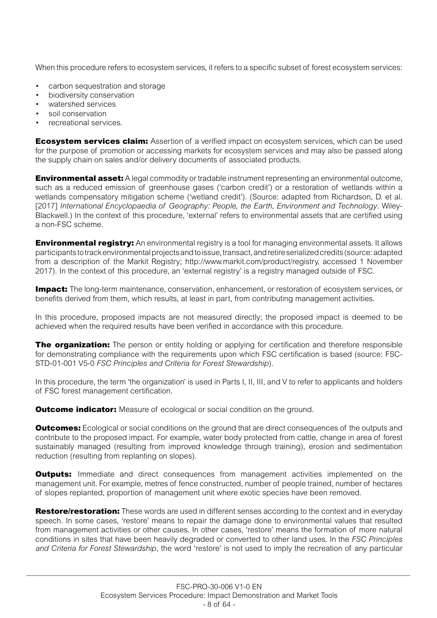When this procedure refers to ecosystem services, it refers to a specific subset of forest ecosystem services:

- carbon sequestration and storage
- biodiversity conservation
- watershed services
- soil conservation
- recreational services.

**Ecosystem services claim:** Assertion of a verified impact on ecosystem services, which can be used for the purpose of promotion or accessing markets for ecosystem services and may also be passed along the supply chain on sales and/or delivery documents of associated products.

**Environmental asset:** A legal commodity or tradable instrument representing an environmental outcome, such as a reduced emission of greenhouse gases ('carbon credit') or a restoration of wetlands within a wetlands compensatory mitigation scheme ('wetland credit'). (Source: adapted from Richardson, D. et al. [2017] *International Encyclopaedia of Geography: People, the Earth, Environment and Technology*. Wiley-Blackwell.) In the context of this procedure, 'external' refers to environmental assets that are certified using a non-FSC scheme.

**Environmental registry:** An environmental registry is a tool for managing environmental assets. It allows participants to track environmental projects and to issue, transact, and retire serialized credits (source: adapted from a description of the Markit Registry; <http://www.markit.com/product/registry>, accessed 1 November 2017). In the context of this procedure, an 'external registry' is a registry managed outside of FSC.

**Impact:** The long-term maintenance, conservation, enhancement, or restoration of ecosystem services, or benefits derived from them, which results, at least in part, from contributing management activities.

In this procedure, proposed impacts are not measured directly; the proposed impact is deemed to be achieved when the required results have been verified in accordance with this procedure.

**The organization:** The person or entity holding or applying for certification and therefore responsible for demonstrating compliance with the requirements upon which FSC certification is based (source: FSC-STD-01-001 V5-0 *FSC Principles and Criteria for Forest Stewardship*).

In this procedure, the term 'the organization' is used in Parts I, II, III, and V to refer to applicants and holders of FSC forest management certification.

**Outcome indicator:** Measure of ecological or social condition on the ground.

**Outcomes:** Ecological or social conditions on the ground that are direct consequences of the outputs and contribute to the proposed impact. For example, water body protected from cattle, change in area of forest sustainably managed (resulting from improved knowledge through training), erosion and sedimentation reduction (resulting from replanting on slopes).

**Outputs:** Immediate and direct consequences from management activities implemented on the management unit. For example, metres of fence constructed, number of people trained, number of hectares of slopes replanted, proportion of management unit where exotic species have been removed.

Restore/restoration: These words are used in different senses according to the context and in everyday speech. In some cases, 'restore' means to repair the damage done to environmental values that resulted from management activities or other causes. In other cases, 'restore' means the formation of more natural conditions in sites that have been heavily degraded or converted to other land uses. In the *FSC Principles and Criteria for Forest Stewardship*, the word 'restore' is not used to imply the recreation of any particular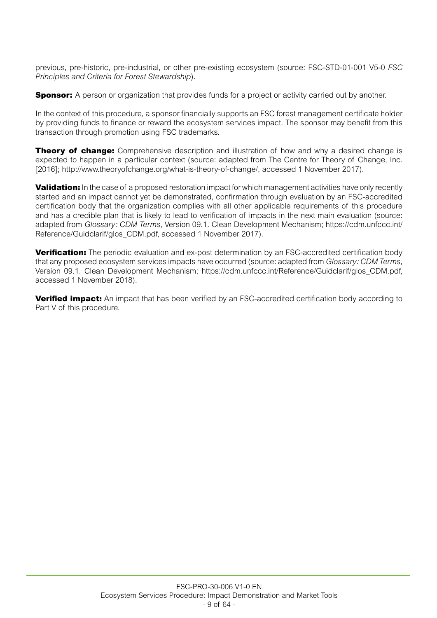previous, pre-historic, pre-industrial, or other pre-existing ecosystem (source: FSC-STD-01-001 V5-0 *FSC Principles and Criteria for Forest Stewardship*).

**Sponsor:** A person or organization that provides funds for a project or activity carried out by another.

In the context of this procedure, a sponsor financially supports an FSC forest management certificate holder by providing funds to finance or reward the ecosystem services impact. The sponsor may benefit from this transaction through promotion using FSC trademarks.

**Theory of change:** Comprehensive description and illustration of how and why a desired change is expected to happen in a particular context (source: adapted from The Centre for Theory of Change, Inc. [2016];<http://www.theoryofchange.org/what-is-theory-of-change/>, accessed 1 November 2017).

**Validation:** In the case of a proposed restoration impact for which management activities have only recently started and an impact cannot yet be demonstrated, confirmation through evaluation by an FSC-accredited certification body that the organization complies with all other applicable requirements of this procedure and has a credible plan that is likely to lead to verification of impacts in the next main evaluation (source: adapted from *Glossary: CDM Terms*, Version 09.1. Clean Development Mechanism; [https://cdm.unfccc.int/](https://cdm.unfccc.int/Reference/Guidclarif/glos_CDM.pdf) [Reference/Guidclarif/glos\\_CDM.pdf](https://cdm.unfccc.int/Reference/Guidclarif/glos_CDM.pdf), accessed 1 November 2017).

**Verification:** The periodic evaluation and ex-post determination by an FSC-accredited certification body that any proposed ecosystem services impacts have occurred (source: adapted from *Glossary: CDM Terms*, Version 09.1. Clean Development Mechanism; [https://cdm.unfccc.int/Reference/Guidclarif/glos\\_CDM.pdf,](https://cdm.unfccc.int/Reference/Guidclarif/glos_CDM.pdf) accessed 1 November 2018).

**Verified impact:** An impact that has been verified by an FSC-accredited certification body according to Part V of this procedure.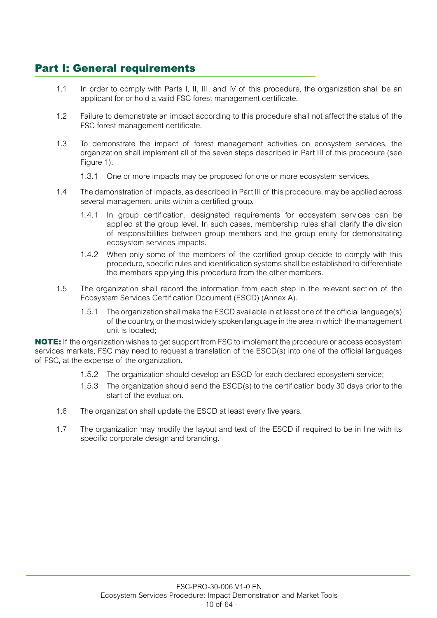# Part I: General requirements

- 1.1 In order to comply with Parts I, II, III, and IV of this procedure, the organization shall be an applicant for or hold a valid FSC forest management certificate.
- 1.2 Failure to demonstrate an impact according to this procedure shall not affect the status of the FSC forest management certificate.
- 1.3 To demonstrate the impact of forest management activities on ecosystem services, the organization shall implement all of the seven steps described in Part III of this procedure (see Figure 1).
	- 1.3.1 One or more impacts may be proposed for one or more ecosystem services.
- 1.4 The demonstration of impacts, as described in Part III of this procedure, may be applied across several management units within a certified group.
	- 1.4.1 In group certification, designated requirements for ecosystem services can be applied at the group level. In such cases, membership rules shall clarify the division of responsibilities between group members and the group entity for demonstrating ecosystem services impacts.
	- 1.4.2 When only some of the members of the certified group decide to comply with this procedure, specific rules and identification systems shall be established to differentiate the members applying this procedure from the other members.
- 1.5 The organization shall record the information from each step in the relevant section of the Ecosystem Services Certification Document (ESCD) (Annex A).
	- 1.5.1 The organization shall make the ESCD available in at least one of the official language(s) of the country, or the most widely spoken language in the area in which the management unit is located;

NOTE: If the organization wishes to get support from FSC to implement the procedure or access ecosystem services markets, FSC may need to request a translation of the ESCD(s) into one of the official languages of FSC, at the expense of the organization.

- 1.5.2 The organization should develop an ESCD for each declared ecosystem service;
- 1.5.3 The organization should send the ESCD(s) to the certification body 30 days prior to the start of the evaluation.
- 1.6 The organization shall update the ESCD at least every five years.
- 1.7 The organization may modify the layout and text of the ESCD if required to be in line with its specific corporate design and branding.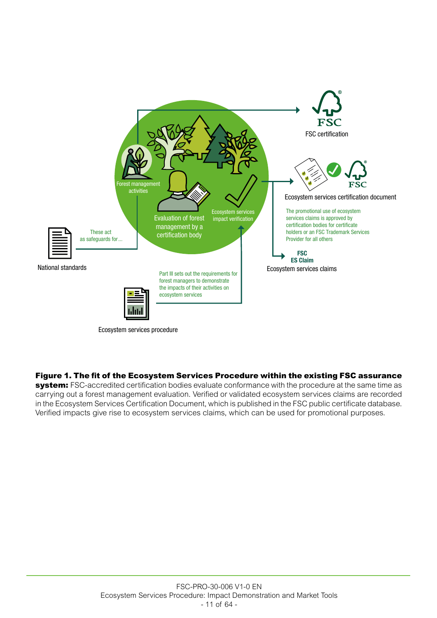

Ecosystem services procedure

#### Figure 1. The fit of the Ecosystem Services Procedure within the existing FSC assurance

system: FSC-accredited certification bodies evaluate conformance with the procedure at the same time as carrying out a forest management evaluation. Verified or validated ecosystem services claims are recorded in the Ecosystem Services Certification Document, which is published in the FSC public certificate database. Verified impacts give rise to ecosystem services claims, which can be used for promotional purposes.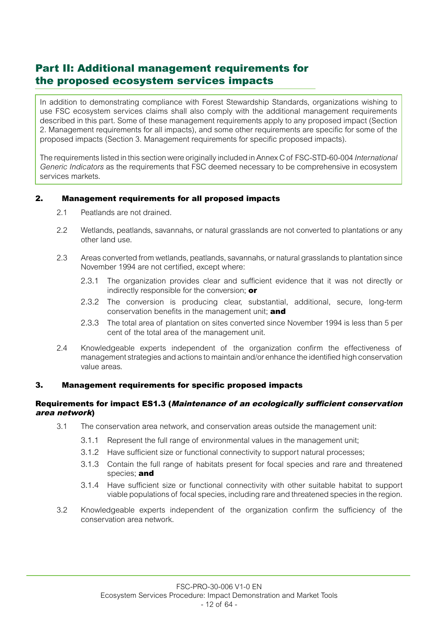# Part II: Additional management requirements for the proposed ecosystem services impacts

In addition to demonstrating compliance with Forest Stewardship Standards, organizations wishing to use FSC ecosystem services claims shall also comply with the additional management requirements described in this part. Some of these management requirements apply to any proposed impact (Section 2. Management requirements for all impacts), and some other requirements are specific for some of the proposed impacts (Section 3. Management requirements for specific proposed impacts).

The requirements listed in this section were originally included in Annex C of FSC-STD-60-004 *International Generic Indicators* as the requirements that FSC deemed necessary to be comprehensive in ecosystem services markets.

# 2. Management requirements for all proposed impacts

- 2.1 Peatlands are not drained.
- 2.2 Wetlands, peatlands, savannahs, or natural grasslands are not converted to plantations or any other land use.
- 2.3 Areas converted from wetlands, peatlands, savannahs, or natural grasslands to plantation since November 1994 are not certified, except where:
	- 2.3.1 The organization provides clear and sufficient evidence that it was not directly or indirectly responsible for the conversion: **or**
	- 2.3.2 The conversion is producing clear, substantial, additional, secure, long-term conservation benefits in the management unit; and
	- 2.3.3 The total area of plantation on sites converted since November 1994 is less than 5 per cent of the total area of the management unit.
- 2.4 Knowledgeable experts independent of the organization confirm the effectiveness of management strategies and actions to maintain and/or enhance the identified high conservation value areas.

#### 3. Management requirements for specific proposed impacts

#### Requirements for impact ES1.3 (Maintenance of an ecologically sufficient conservation area network)

- 3.1 The conservation area network, and conservation areas outside the management unit:
	- 3.1.1 Represent the full range of environmental values in the management unit;
	- 3.1.2 Have sufficient size or functional connectivity to support natural processes;
	- 3.1.3 Contain the full range of habitats present for focal species and rare and threatened species; and
	- 3.1.4 Have sufficient size or functional connectivity with other suitable habitat to support viable populations of focal species, including rare and threatened species in the region.
- 3.2 Knowledgeable experts independent of the organization confirm the sufficiency of the conservation area network.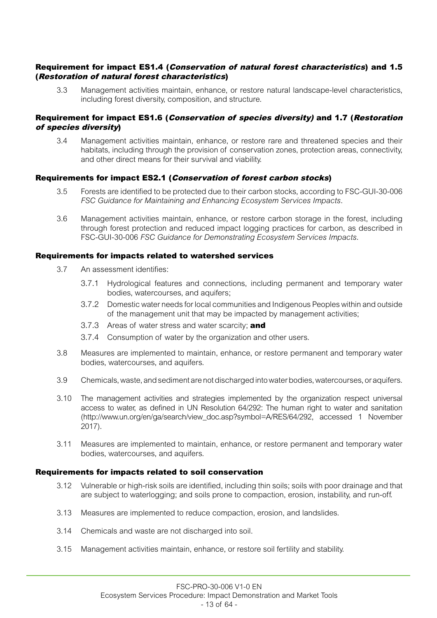#### Requirement for impact ES1.4 (Conservation of natural forest characteristics) and 1.5 (Restoration of natural forest characteristics)

3.3 Management activities maintain, enhance, or restore natural landscape-level characteristics, including forest diversity, composition, and structure.

## Requirement for impact ES1.6 (Conservation of species diversity) and 1.7 (Restoration of species diversity)

3.4 Management activities maintain, enhance, or restore rare and threatened species and their habitats, including through the provision of conservation zones, protection areas, connectivity, and other direct means for their survival and viability.

# Requirements for impact ES2.1 (Conservation of forest carbon stocks)

- 3.5 Forests are identified to be protected due to their carbon stocks, according to FSC-GUI-30-006 *FSC Guidance for Maintaining and Enhancing Ecosystem Services Impacts*.
- 3.6 Management activities maintain, enhance, or restore carbon storage in the forest, including through forest protection and reduced impact logging practices for carbon, as described in FSC-GUI-30-006 *FSC Guidance for Demonstrating Ecosystem Services Impacts*.

#### Requirements for impacts related to watershed services

- 3.7 An assessment identifies:
	- 3.7.1 Hydrological features and connections, including permanent and temporary water bodies, watercourses, and aquifers;
	- 3.7.2 Domestic water needs for local communities and Indigenous Peoples within and outside of the management unit that may be impacted by management activities;
	- 3.7.3 Areas of water stress and water scarcity; and
	- 3.7.4 Consumption of water by the organization and other users.
- 3.8 Measures are implemented to maintain, enhance, or restore permanent and temporary water bodies, watercourses, and aquifers.
- 3.9 Chemicals, waste, and sediment are not discharged into water bodies, watercourses, or aquifers.
- 3.10 The management activities and strategies implemented by the organization respect universal access to water, as defined in UN Resolution 64/292: The human right to water and sanitation [\(http://www.un.org/en/ga/search/view\\_doc.asp?symbol=A/RES/64/292,](http://www.un.org/en/ga/search/view_doc.asp?symbol=A/RES/64/292) accessed 1 November 2017).
- 3.11 Measures are implemented to maintain, enhance, or restore permanent and temporary water bodies, watercourses, and aquifers.

#### Requirements for impacts related to soil conservation

- 3.12 Vulnerable or high-risk soils are identified, including thin soils; soils with poor drainage and that are subject to waterlogging; and soils prone to compaction, erosion, instability, and run-off.
- 3.13 Measures are implemented to reduce compaction, erosion, and landslides.
- 3.14 Chemicals and waste are not discharged into soil.
- 3.15 Management activities maintain, enhance, or restore soil fertility and stability.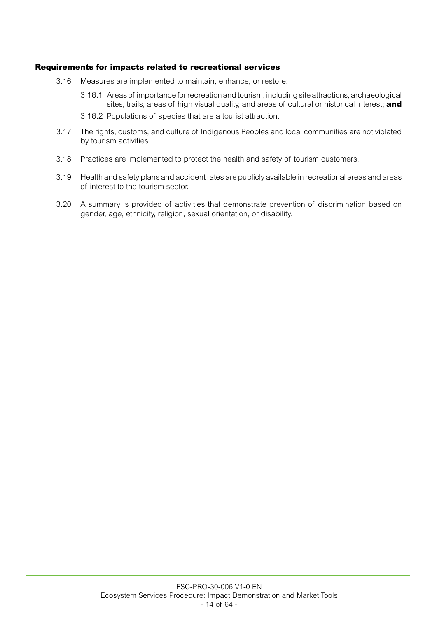#### Requirements for impacts related to recreational services

- 3.16 Measures are implemented to maintain, enhance, or restore:
	- 3.16.1 Areas of importance for recreation and tourism, including site attractions, archaeological sites, trails, areas of high visual quality, and areas of cultural or historical interest; and
	- 3.16.2 Populations of species that are a tourist attraction.
- 3.17 The rights, customs, and culture of Indigenous Peoples and local communities are not violated by tourism activities.
- 3.18 Practices are implemented to protect the health and safety of tourism customers.
- 3.19 Health and safety plans and accident rates are publicly available in recreational areas and areas of interest to the tourism sector.
- 3.20 A summary is provided of activities that demonstrate prevention of discrimination based on gender, age, ethnicity, religion, sexual orientation, or disability.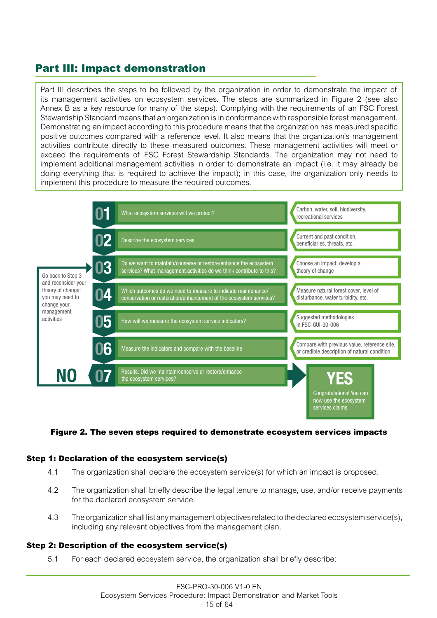# Part III: Impact demonstration

Part III describes the steps to be followed by the organization in order to demonstrate the impact of its management activities on ecosystem services. The steps are summarized in Figure 2 (see also Annex B as a key resource for many of the steps). Complying with the requirements of an FSC Forest Stewardship Standard means that an organization is in conformance with responsible forest management. Demonstrating an impact according to this procedure means that the organization has measured specific positive outcomes compared with a reference level. It also means that the organization's management activities contribute directly to these measured outcomes. These management activities will meet or exceed the requirements of FSC Forest Stewardship Standards. The organization may not need to implement additional management activities in order to demonstrate an impact (i.e. it may already be doing everything that is required to achieve the impact); in this case, the organization only needs to implement this procedure to measure the required outcomes.



#### Figure 2. The seven steps required to demonstrate ecosystem services impacts

#### Step 1: Declaration of the ecosystem service(s)

- 4.1 The organization shall declare the ecosystem service(s) for which an impact is proposed.
- 4.2 The organization shall briefly describe the legal tenure to manage, use, and/or receive payments for the declared ecosystem service.
- 4.3 The organization shall list any management objectives related to the declared ecosystem service(s), including any relevant objectives from the management plan.

#### Step 2: Description of the ecosystem service(s)

5.1 For each declared ecosystem service, the organization shall briefly describe: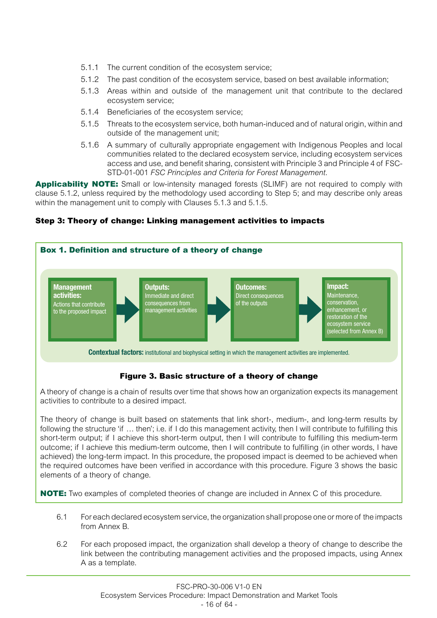- 5.1.1 The current condition of the ecosystem service;
- 5.1.2 The past condition of the ecosystem service, based on best available information;
- 5.1.3 Areas within and outside of the management unit that contribute to the declared ecosystem service;
- 5.1.4 Beneficiaries of the ecosystem service;
- 5.1.5 Threats to the ecosystem service, both human-induced and of natural origin, within and outside of the management unit;
- 5.1.6 A summary of culturally appropriate engagement with Indigenous Peoples and local communities related to the declared ecosystem service, including ecosystem services access and use, and benefit sharing, consistent with Principle 3 and Principle 4 of FSC-STD-01-001 *FSC Principles and Criteria for Forest Management*.

Applicability NOTE: Small or low-intensity managed forests (SLIMF) are not required to comply with clause 5.1.2, unless required by the methodology used according to Step 5; and may describe only areas within the management unit to comply with Clauses 5.1.3 and 5.1.5.

# Step 3: Theory of change: Linking management activities to impacts



# Figure 3. Basic structure of a theory of change

A theory of change is a chain of results over time that shows how an organization expects its management activities to contribute to a desired impact.

The theory of change is built based on statements that link short-, medium-, and long-term results by following the structure 'if ... then'; i.e. if I do this management activity, then I will contribute to fulfilling this short-term output; if I achieve this short-term output, then I will contribute to fulfilling this medium-term outcome; if I achieve this medium-term outcome, then I will contribute to fulfilling (in other words, I have achieved) the long-term impact. In this procedure, the proposed impact is deemed to be achieved when the required outcomes have been verified in accordance with this procedure. Figure 3 shows the basic elements of a theory of change.

**NOTE:** Two examples of completed theories of change are included in Annex C of this procedure.

- 6.1 For each declared ecosystem service, the organization shall propose one or more of the impacts from Annex B.
- 6.2 For each proposed impact, the organization shall develop a theory of change to describe the link between the contributing management activities and the proposed impacts, using Annex A as a template.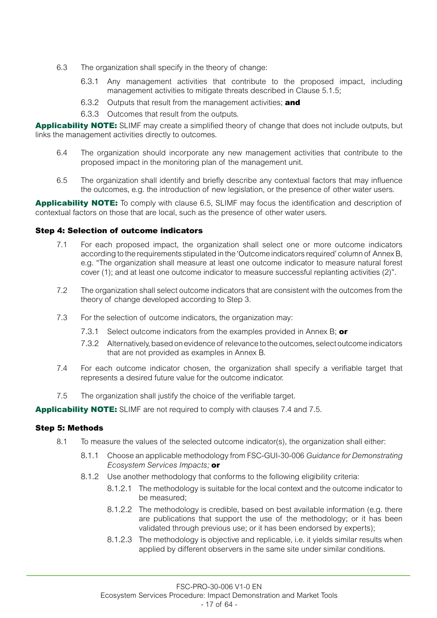- 6.3 The organization shall specify in the theory of change:
	- 6.3.1 Any management activities that contribute to the proposed impact, including management activities to mitigate threats described in Clause 5.1.5;
	- 6.3.2 Outputs that result from the management activities; and
	- 6.3.3 Outcomes that result from the outputs.

Applicability NOTE: SLIMF may create a simplified theory of change that does not include outputs, but links the management activities directly to outcomes.

- 6.4 The organization should incorporate any new management activities that contribute to the proposed impact in the monitoring plan of the management unit.
- 6.5 The organization shall identify and briefly describe any contextual factors that may influence the outcomes, e.g. the introduction of new legislation, or the presence of other water users.

Applicability NOTE: To comply with clause 6.5, SLIMF may focus the identification and description of contextual factors on those that are local, such as the presence of other water users.

#### Step 4: Selection of outcome indicators

- 7.1 For each proposed impact, the organization shall select one or more outcome indicators according to the requirements stipulated in the 'Outcome indicators required' column of Annex B, e.g. "The organization shall measure at least one outcome indicator to measure natural forest cover (1); and at least one outcome indicator to measure successful replanting activities (2)".
- 7.2 The organization shall select outcome indicators that are consistent with the outcomes from the theory of change developed according to Step 3.
- 7.3 For the selection of outcome indicators, the organization may:
	- 7.3.1 Select outcome indicators from the examples provided in Annex B; or
	- 7.3.2 Alternatively, based on evidence of relevance to the outcomes, select outcome indicators that are not provided as examples in Annex B.
- 7.4 For each outcome indicator chosen, the organization shall specify a verifiable target that represents a desired future value for the outcome indicator.
- 7.5 The organization shall justify the choice of the verifiable target.

Applicability NOTE: SLIMF are not required to comply with clauses 7.4 and 7.5.

#### Step 5: Methods

- 8.1 To measure the values of the selected outcome indicator(s), the organization shall either:
	- 8.1.1 Choose an applicable methodology from FSC-GUI-30-006 *Guidance for Demonstrating Ecosystem Services Impacts;* or
	- 8.1.2 Use another methodology that conforms to the following eligibility criteria:
		- 8.1.2.1 The methodology is suitable for the local context and the outcome indicator to be measured;
		- 8.1.2.2 The methodology is credible, based on best available information (e.g. there are publications that support the use of the methodology; or it has been validated through previous use; or it has been endorsed by experts);
		- 8.1.2.3 The methodology is objective and replicable, i.e. it yields similar results when applied by different observers in the same site under similar conditions.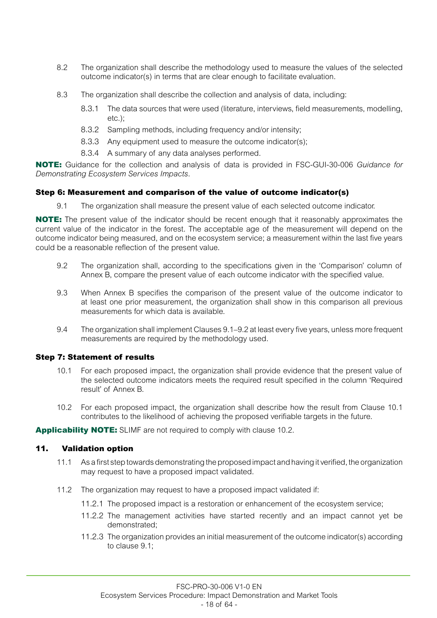- 8.2 The organization shall describe the methodology used to measure the values of the selected outcome indicator(s) in terms that are clear enough to facilitate evaluation.
- 8.3 The organization shall describe the collection and analysis of data, including:
	- 8.3.1 The data sources that were used (literature, interviews, field measurements, modelling, etc.);
	- 8.3.2 Sampling methods, including frequency and/or intensity;
	- 8.3.3 Any equipment used to measure the outcome indicator(s);
	- 8.3.4 A summary of any data analyses performed.

NOTE: Guidance for the collection and analysis of data is provided in FSC-GUI-30-006 *Guidance for Demonstrating Ecosystem Services Impacts*.

# Step 6: Measurement and comparison of the value of outcome indicator(s)

9.1 The organization shall measure the present value of each selected outcome indicator.

NOTE: The present value of the indicator should be recent enough that it reasonably approximates the current value of the indicator in the forest. The acceptable age of the measurement will depend on the outcome indicator being measured, and on the ecosystem service; a measurement within the last five years could be a reasonable reflection of the present value.

- 9.2 The organization shall, according to the specifications given in the 'Comparison' column of Annex B, compare the present value of each outcome indicator with the specified value.
- 9.3 When Annex B specifies the comparison of the present value of the outcome indicator to at least one prior measurement, the organization shall show in this comparison all previous measurements for which data is available.
- 9.4 The organization shall implement Clauses 9.1–9.2 at least every five years, unless more frequent measurements are required by the methodology used.

#### Step 7: Statement of results

- 10.1 For each proposed impact, the organization shall provide evidence that the present value of the selected outcome indicators meets the required result specified in the column 'Required result' of Annex B.
- 10.2 For each proposed impact, the organization shall describe how the result from Clause 10.1 contributes to the likelihood of achieving the proposed verifiable targets in the future.

Applicability NOTE: SLIMF are not required to comply with clause 10.2.

# 11. Validation option

- 11.1 As a first step towards demonstrating the proposed impact and having it verified, the organization may request to have a proposed impact validated.
- 11.2 The organization may request to have a proposed impact validated if:
	- 11.2.1 The proposed impact is a restoration or enhancement of the ecosystem service;
	- 11.2.2 The management activities have started recently and an impact cannot yet be demonstrated;
	- 11.2.3 The organization provides an initial measurement of the outcome indicator(s) according to clause 9.1;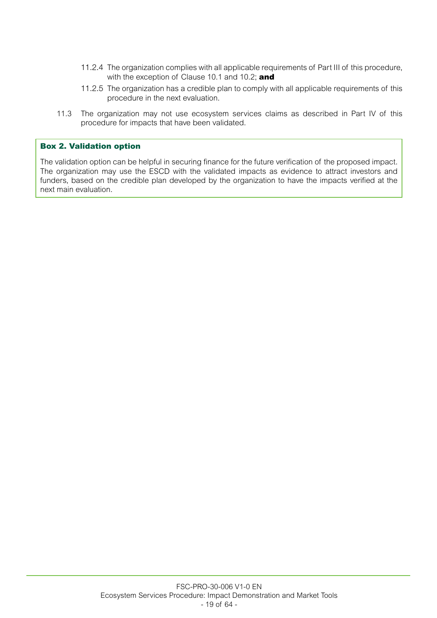- 11.2.4 The organization complies with all applicable requirements of Part III of this procedure, with the exception of Clause 10.1 and 10.2; and
- 11.2.5 The organization has a credible plan to comply with all applicable requirements of this procedure in the next evaluation.
- 11.3 The organization may not use ecosystem services claims as described in Part IV of this procedure for impacts that have been validated.

#### Box 2. Validation option

The validation option can be helpful in securing finance for the future verification of the proposed impact. The organization may use the ESCD with the validated impacts as evidence to attract investors and funders, based on the credible plan developed by the organization to have the impacts verified at the next main evaluation.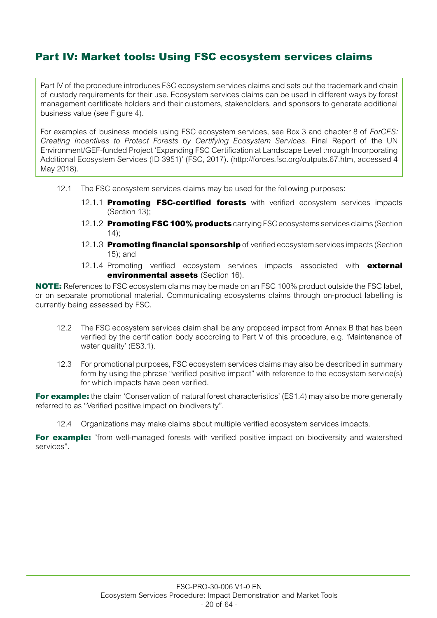# Part IV: Market tools: Using FSC ecosystem services claims

Part IV of the procedure introduces FSC ecosystem services claims and sets out the trademark and chain of custody requirements for their use. Ecosystem services claims can be used in different ways by forest management certificate holders and their customers, stakeholders, and sponsors to generate additional business value (see Figure 4).

For examples of business models using FSC ecosystem services, see Box 3 and chapter 8 of *ForCES: Creating Incentives to Protect Forests by Certifying Ecosystem Services*. Final Report of the UN Environment/GEF-funded Project 'Expanding FSC Certification at Landscape Level through Incorporating Additional Ecosystem Services (ID 3951)' (FSC, 2017). (<http://forces.fsc.org/outputs.67.htm>, accessed 4 May 2018).

- 12.1 The FSC ecosystem services claims may be used for the following purposes:
	- 12.1.1 Promoting FSC-certified forests with verified ecosystem services impacts (Section 13);
	- 12.1.2 **Promoting FSC 100% products** carrying FSC ecosystems services claims (Section 14);
	- 12.1.3 Promoting financial sponsorship of verified ecosystem services impacts (Section 15); and
	- 12.1.4 Promoting verified ecosystem services impacts associated with **external** environmental assets (Section 16).

NOTE: References to FSC ecosystem claims may be made on an FSC 100% product outside the FSC label. or on separate promotional material. Communicating ecosystems claims through on-product labelling is currently being assessed by FSC.

- 12.2 The FSC ecosystem services claim shall be any proposed impact from Annex B that has been verified by the certification body according to Part V of this procedure, e.g. 'Maintenance of water quality' (ES3.1).
- 12.3 For promotional purposes, FSC ecosystem services claims may also be described in summary form by using the phrase "verified positive impact" with reference to the ecosystem service(s) for which impacts have been verified.

**For example:** the claim 'Conservation of natural forest characteristics' (ES1.4) may also be more generally referred to as "Verified positive impact on biodiversity".

12.4 Organizations may make claims about multiple verified ecosystem services impacts.

For example: "from well-managed forests with verified positive impact on biodiversity and watershed services".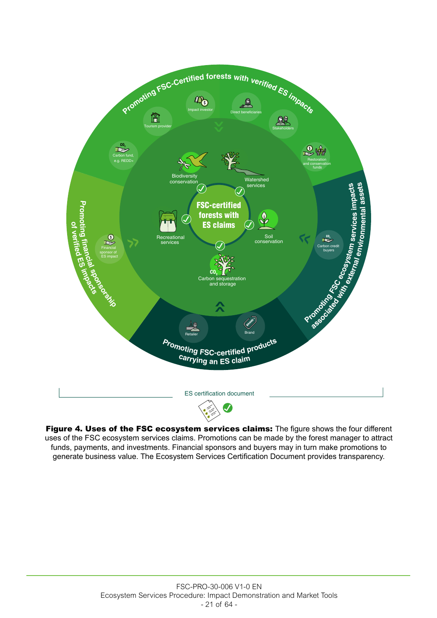

Figure 4. Uses of the FSC ecosystem services claims: The figure shows the four different uses of the FSC ecosystem services claims. Promotions can be made by the forest manager to attract funds, payments, and investments. Financial sponsors and buyers may in turn make promotions to generate business value. The Ecosystem Services Certification Document provides transparency.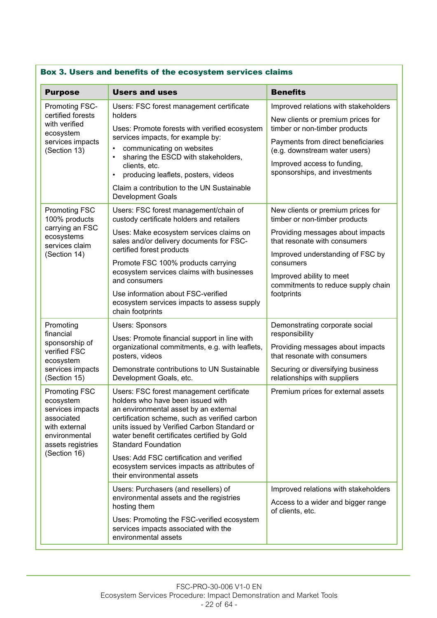| <b>Purpose</b>                                                                                                             | <b>Users and uses</b>                                                                                                                                                                                                                                                                                | <b>Benefits</b>                                                                                |  |
|----------------------------------------------------------------------------------------------------------------------------|------------------------------------------------------------------------------------------------------------------------------------------------------------------------------------------------------------------------------------------------------------------------------------------------------|------------------------------------------------------------------------------------------------|--|
| Promoting FSC-<br>certified forests                                                                                        | Users: FSC forest management certificate                                                                                                                                                                                                                                                             | Improved relations with stakeholders                                                           |  |
| with verified<br>ecosystem                                                                                                 | holders<br>Uses: Promote forests with verified ecosystem                                                                                                                                                                                                                                             | New clients or premium prices for<br>timber or non-timber products                             |  |
| services impacts<br>(Section 13)                                                                                           | services impacts, for example by:<br>communicating on websites<br>$\bullet$<br>$\bullet$                                                                                                                                                                                                             | Payments from direct beneficiaries<br>(e.g. downstream water users)                            |  |
|                                                                                                                            | sharing the ESCD with stakeholders,<br>clients, etc.<br>producing leaflets, posters, videos<br>$\bullet$                                                                                                                                                                                             | Improved access to funding,<br>sponsorships, and investments                                   |  |
|                                                                                                                            | Claim a contribution to the UN Sustainable<br><b>Development Goals</b>                                                                                                                                                                                                                               |                                                                                                |  |
| <b>Promoting FSC</b><br>100% products                                                                                      | Users: FSC forest management/chain of<br>custody certificate holders and retailers                                                                                                                                                                                                                   | New clients or premium prices for<br>timber or non-timber products                             |  |
| carrying an FSC<br>ecosystems<br>services claim                                                                            | Uses: Make ecosystem services claims on<br>sales and/or delivery documents for FSC-                                                                                                                                                                                                                  | Providing messages about impacts<br>that resonate with consumers                               |  |
| (Section 14)                                                                                                               | certified forest products<br>Promote FSC 100% products carrying                                                                                                                                                                                                                                      | Improved understanding of FSC by<br>consumers                                                  |  |
|                                                                                                                            | ecosystem services claims with businesses<br>and consumers                                                                                                                                                                                                                                           | Improved ability to meet<br>commitments to reduce supply chain                                 |  |
|                                                                                                                            | Use information about FSC-verified<br>ecosystem services impacts to assess supply<br>chain footprints                                                                                                                                                                                                | footprints                                                                                     |  |
| Promoting<br>financial                                                                                                     | <b>Users: Sponsors</b>                                                                                                                                                                                                                                                                               | Demonstrating corporate social<br>responsibility                                               |  |
| sponsorship of<br>verified FSC<br>ecosystem                                                                                | Uses: Promote financial support in line with<br>organizational commitments, e.g. with leaflets,<br>posters, videos                                                                                                                                                                                   | Providing messages about impacts<br>that resonate with consumers                               |  |
| services impacts<br>(Section 15)                                                                                           | Demonstrate contributions to UN Sustainable<br>Development Goals, etc.                                                                                                                                                                                                                               | Securing or diversifying business<br>relationships with suppliers                              |  |
| <b>Promoting FSC</b><br>ecosystem<br>services impacts<br>associated<br>with external<br>environmental<br>assets registries | Users: FSC forest management certificate<br>holders who have been issued with<br>an environmental asset by an external<br>certification scheme, such as verified carbon<br>units issued by Verified Carbon Standard or<br>water benefit certificates certified by Gold<br><b>Standard Foundation</b> | Premium prices for external assets                                                             |  |
| (Section 16)                                                                                                               | Uses: Add FSC certification and verified<br>ecosystem services impacts as attributes of<br>their environmental assets                                                                                                                                                                                |                                                                                                |  |
|                                                                                                                            | Users: Purchasers (and resellers) of<br>environmental assets and the registries<br>hosting them                                                                                                                                                                                                      | Improved relations with stakeholders<br>Access to a wider and bigger range<br>of clients, etc. |  |
|                                                                                                                            | Uses: Promoting the FSC-verified ecosystem<br>services impacts associated with the<br>environmental assets                                                                                                                                                                                           |                                                                                                |  |

# Box 3. Users and benefits of the ecosystem services claims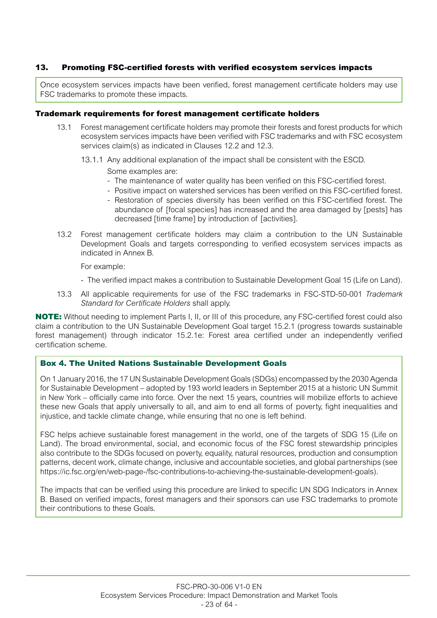## 13. Promoting FSC-certified forests with verified ecosystem services impacts

Once ecosystem services impacts have been verified, forest management certificate holders may use FSC trademarks to promote these impacts.

#### Trademark requirements for forest management certificate holders

- 13.1 Forest management certificate holders may promote their forests and forest products for which ecosystem services impacts have been verified with FSC trademarks and with FSC ecosystem services claim(s) as indicated in Clauses 12.2 and 12.3.
	- 13.1.1 Any additional explanation of the impact shall be consistent with the ESCD.

Some examples are:

- The maintenance of water quality has been verified on this FSC-certified forest.
- Positive impact on watershed services has been verified on this FSC-certified forest.
- Restoration of species diversity has been verified on this FSC-certified forest. The abundance of [focal species] has increased and the area damaged by [pests] has decreased [time frame] by introduction of [activities].
- 13.2 Forest management certificate holders may claim a contribution to the UN Sustainable Development Goals and targets corresponding to verified ecosystem services impacts as indicated in Annex B.

For example:

- The verified impact makes a contribution to Sustainable Development Goal 15 (Life on Land).
- 13.3 All applicable requirements for use of the FSC trademarks in FSC-STD-50-001 *Trademark Standard for Certificate Holders* shall apply.

NOTE: Without needing to implement Parts I, II, or III of this procedure, any FSC-certified forest could also claim a contribution to the UN Sustainable Development Goal target 15.2.1 (progress towards sustainable forest management) through indicator 15.2.1e: Forest area certified under an independently verified certification scheme.

#### Box 4. The United Nations Sustainable Development Goals

On 1 January 2016, the 17 UN Sustainable Development Goals (SDGs) encompassed by the 2030 Agenda for Sustainable Development – adopted by 193 world leaders in September 2015 at a historic UN Summit in New York – officially came into force. Over the next 15 years, countries will mobilize efforts to achieve these new Goals that apply universally to all, and aim to end all forms of poverty, fight inequalities and injustice, and tackle climate change, while ensuring that no one is left behind.

FSC helps achieve sustainable forest management in the world, one of the targets of SDG 15 (Life on Land). The broad environmental, social, and economic focus of the FSC forest stewardship principles also contribute to the SDGs focused on poverty, equality, natural resources, production and consumption patterns, decent work, climate change, inclusive and accountable societies, and global partnerships (see <https://ic.fsc.org/en/web-page-/fsc-contributions-to-achieving-the-sustainable-development-goals>).

The impacts that can be verified using this procedure are linked to specific UN SDG Indicators in Annex B. Based on verified impacts, forest managers and their sponsors can use FSC trademarks to promote their contributions to these Goals.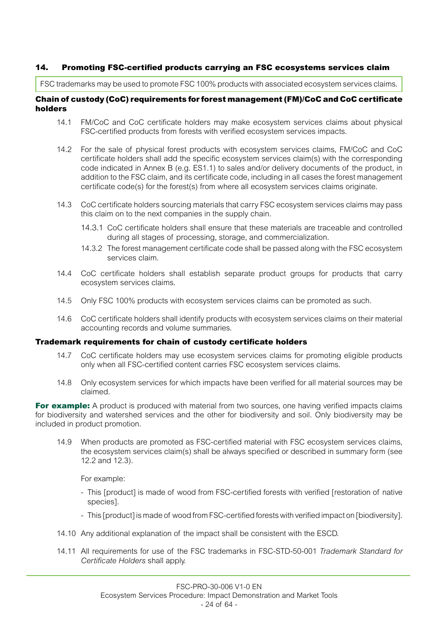# 14. Promoting FSC-certified products carrying an FSC ecosystems services claim

FSC trademarks may be used to promote FSC 100% products with associated ecosystem services claims.

## Chain of custody (CoC) requirements for forest management (FM)/CoC and CoC certificate holders

- 14.1 FM/CoC and CoC certificate holders may make ecosystem services claims about physical FSC-certified products from forests with verified ecosystem services impacts.
- 14.2 For the sale of physical forest products with ecosystem services claims, FM/CoC and CoC certificate holders shall add the specific ecosystem services claim(s) with the corresponding code indicated in Annex B (e.g. ES1.1) to sales and/or delivery documents of the product, in addition to the FSC claim, and its certificate code, including in all cases the forest management certificate code(s) for the forest(s) from where all ecosystem services claims originate.
- 14.3 CoC certificate holders sourcing materials that carry FSC ecosystem services claims may pass this claim on to the next companies in the supply chain.
	- 14.3.1 CoC certificate holders shall ensure that these materials are traceable and controlled during all stages of processing, storage, and commercialization.
	- 14.3.2 The forest management certificate code shall be passed along with the FSC ecosystem services claim.
- 14.4 CoC certificate holders shall establish separate product groups for products that carry ecosystem services claims.
- 14.5 Only FSC 100% products with ecosystem services claims can be promoted as such.
- 14.6 CoC certificate holders shall identify products with ecosystem services claims on their material accounting records and volume summaries.

#### Trademark requirements for chain of custody certificate holders

- 14.7 CoC certificate holders may use ecosystem services claims for promoting eligible products only when all FSC-certified content carries FSC ecosystem services claims.
- 14.8 Only ecosystem services for which impacts have been verified for all material sources may be claimed.

**For example:** A product is produced with material from two sources, one having verified impacts claims for biodiversity and watershed services and the other for biodiversity and soil. Only biodiversity may be included in product promotion.

14.9 When products are promoted as FSC-certified material with FSC ecosystem services claims, the ecosystem services claim(s) shall be always specified or described in summary form (see 12.2 and 12.3).

For example:

- This [product] is made of wood from FSC-certified forests with verified [restoration of native species].
- This [product] is made of wood from FSC-certified forests with verified impact on [biodiversity].
- 14.10 Any additional explanation of the impact shall be consistent with the ESCD.
- 14.11 All requirements for use of the FSC trademarks in FSC-STD-50-001 *Trademark Standard for Certificate Holders* shall apply.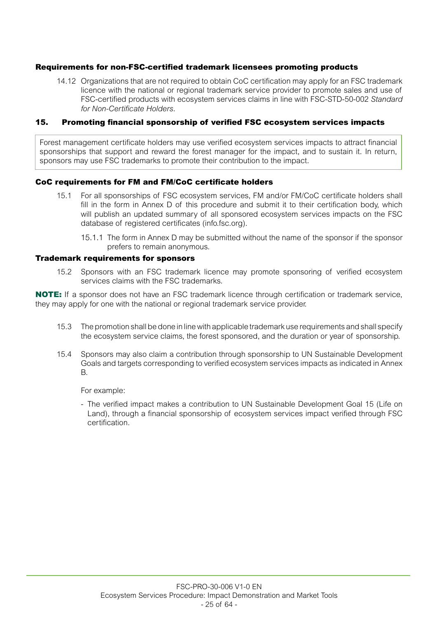#### Requirements for non-FSC-certified trademark licensees promoting products

14.12 Organizations that are not required to obtain CoC certification may apply for an FSC trademark licence with the national or regional trademark service provider to promote sales and use of FSC-certified products with ecosystem services claims in line with FSC-STD-50-002 *Standard for Non-Certificate Holders*.

#### 15. Promoting financial sponsorship of verified FSC ecosystem services impacts

Forest management certificate holders may use verified ecosystem services impacts to attract financial sponsorships that support and reward the forest manager for the impact, and to sustain it. In return, sponsors may use FSC trademarks to promote their contribution to the impact.

#### CoC requirements for FM and FM/CoC certificate holders

- 15.1 For all sponsorships of FSC ecosystem services, FM and/or FM/CoC certificate holders shall fill in the form in Annex D of this procedure and submit it to their certification body, which will publish an updated summary of all sponsored ecosystem services impacts on the FSC database of registered certificates [\(info.fsc.org\)](http://info.fsc.org/).
	- 15.1.1 The form in Annex D may be submitted without the name of the sponsor if the sponsor prefers to remain anonymous.

#### Trademark requirements for sponsors

15.2 Sponsors with an FSC trademark licence may promote sponsoring of verified ecosystem services claims with the FSC trademarks.

NOTE: If a sponsor does not have an FSC trademark licence through certification or trademark service, they may apply for one with the national or regional trademark service provider.

- 15.3 The promotion shall be done in line with applicable trademark use requirements and shall specify the ecosystem service claims, the forest sponsored, and the duration or year of sponsorship.
- 15.4 Sponsors may also claim a contribution through sponsorship to UN Sustainable Development Goals and targets corresponding to verified ecosystem services impacts as indicated in Annex B.

For example:

- The verified impact makes a contribution to UN Sustainable Development Goal 15 (Life on Land), through a financial sponsorship of ecosystem services impact verified through FSC certification.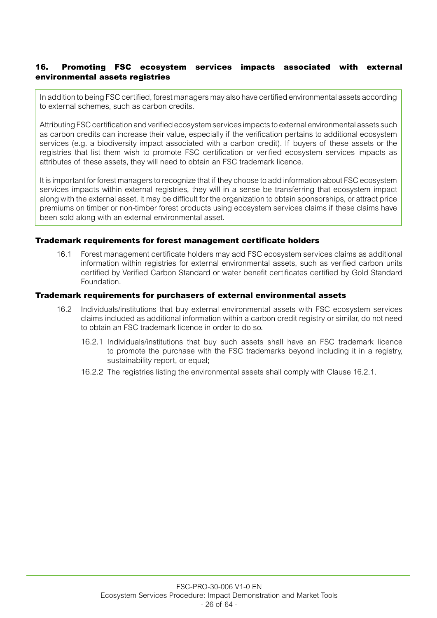# 16. Promoting FSC ecosystem services impacts associated with external environmental assets registries

In addition to being FSC certified, forest managers may also have certified environmental assets according to external schemes, such as carbon credits.

Attributing FSC certification and verified ecosystem services impacts to external environmental assets such as carbon credits can increase their value, especially if the verification pertains to additional ecosystem services (e.g. a biodiversity impact associated with a carbon credit). If buyers of these assets or the registries that list them wish to promote FSC certification or verified ecosystem services impacts as attributes of these assets, they will need to obtain an FSC trademark licence.

It is important for forest managers to recognize that if they choose to add information about FSC ecosystem services impacts within external registries, they will in a sense be transferring that ecosystem impact along with the external asset. It may be difficult for the organization to obtain sponsorships, or attract price premiums on timber or non-timber forest products using ecosystem services claims if these claims have been sold along with an external environmental asset.

#### Trademark requirements for forest management certificate holders

16.1 Forest management certificate holders may add FSC ecosystem services claims as additional information within registries for external environmental assets, such as verified carbon units certified by Verified Carbon Standard or water benefit certificates certified by Gold Standard Foundation.

#### Trademark requirements for purchasers of external environmental assets

- 16.2 Individuals/institutions that buy external environmental assets with FSC ecosystem services claims included as additional information within a carbon credit registry or similar, do not need to obtain an FSC trademark licence in order to do so.
	- 16.2.1 Individuals/institutions that buy such assets shall have an FSC trademark licence to promote the purchase with the FSC trademarks beyond including it in a registry, sustainability report, or equal;
	- 16.2.2 The registries listing the environmental assets shall comply with Clause 16.2.1.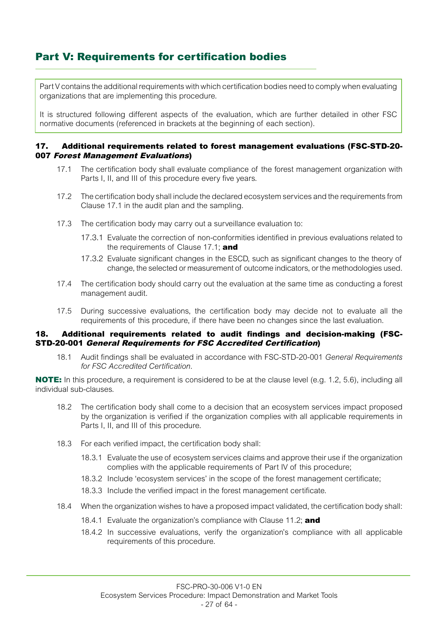# Part V: Requirements for certification bodies

Part V contains the additional requirements with which certification bodies need to comply when evaluating organizations that are implementing this procedure.

It is structured following different aspects of the evaluation, which are further detailed in other FSC normative documents (referenced in brackets at the beginning of each section).

#### 17. Additional requirements related to forest management evaluations (FSC-STD-20- 007 Forest Management Evaluations)

- 17.1 The certification body shall evaluate compliance of the forest management organization with Parts I, II, and III of this procedure every five years.
- 17.2 The certification body shall include the declared ecosystem services and the requirements from Clause 17.1 in the audit plan and the sampling.
- 17.3 The certification body may carry out a surveillance evaluation to:
	- 17.3.1 Evaluate the correction of non-conformities identified in previous evaluations related to the requirements of Clause  $17.1$ ; and
	- 17.3.2 Evaluate significant changes in the ESCD, such as significant changes to the theory of change, the selected or measurement of outcome indicators, or the methodologies used.
- 17.4 The certification body should carry out the evaluation at the same time as conducting a forest management audit.
- 17.5 During successive evaluations, the certification body may decide not to evaluate all the requirements of this procedure, if there have been no changes since the last evaluation.

#### 18. Additional requirements related to audit findings and decision-making (FSC-STD-20-001 General Requirements for FSC Accredited Certification)

18.1 Audit findings shall be evaluated in accordance with FSC-STD-20-001 *General Requirements for FSC Accredited Certification*.

NOTE: In this procedure, a requirement is considered to be at the clause level (e.g. 1.2, 5.6), including all individual sub-clauses.

- 18.2 The certification body shall come to a decision that an ecosystem services impact proposed by the organization is verified if the organization complies with all applicable requirements in Parts I, II, and III of this procedure.
- 18.3 For each verified impact, the certification body shall:
	- 18.3.1 Evaluate the use of ecosystem services claims and approve their use if the organization complies with the applicable requirements of Part IV of this procedure;
	- 18.3.2 Include 'ecosystem services' in the scope of the forest management certificate;
	- 18.3.3 Include the verified impact in the forest management certificate.
- 18.4 When the organization wishes to have a proposed impact validated, the certification body shall:
	- 18.4.1 Evaluate the organization's compliance with Clause 11.2; and
	- 18.4.2 In successive evaluations, verify the organization's compliance with all applicable requirements of this procedure.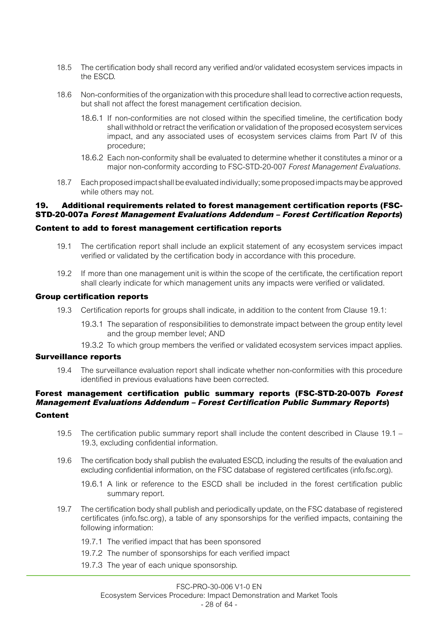- 18.5 The certification body shall record any verified and/or validated ecosystem services impacts in the ESCD.
- 18.6 Non-conformities of the organization with this procedure shall lead to corrective action requests, but shall not affect the forest management certification decision.
	- 18.6.1 If non-conformities are not closed within the specified timeline, the certification body shall withhold or retract the verification or validation of the proposed ecosystem services impact, and any associated uses of ecosystem services claims from Part IV of this procedure;
	- 18.6.2 Each non-conformity shall be evaluated to determine whether it constitutes a minor or a major non-conformity according to FSC-STD-20-007 *Forest Management Evaluations*.
- 18.7 Each proposed impact shall be evaluated individually; some proposed impacts may be approved while others may not.

#### 19. Additional requirements related to forest management certification reports (FSC-STD-20-007a Forest Management Evaluations Addendum – Forest Certification Reports)

#### Content to add to forest management certification reports

- 19.1 The certification report shall include an explicit statement of any ecosystem services impact verified or validated by the certification body in accordance with this procedure.
- 19.2 If more than one management unit is within the scope of the certificate, the certification report shall clearly indicate for which management units any impacts were verified or validated.

#### Group certification reports

- 19.3 Certification reports for groups shall indicate, in addition to the content from Clause 19.1:
	- 19.3.1 The separation of responsibilities to demonstrate impact between the group entity level and the group member level; AND
	- 19.3.2 To which group members the verified or validated ecosystem services impact applies.

#### Surveillance reports

19.4 The surveillance evaluation report shall indicate whether non-conformities with this procedure identified in previous evaluations have been corrected.

# Forest management certification public summary reports (FSC-STD-20-007b Forest Management Evaluations Addendum – Forest Certification Public Summary Reports)

## Content

- 19.5 The certification public summary report shall include the content described in Clause 19.1 19.3, excluding confidential information.
- 19.6 The certification body shall publish the evaluated ESCD, including the results of the evaluation and excluding confidential information, on the FSC database of registered certificates [\(info.fsc.org](http://info.fsc.org/)).
	- 19.6.1 A link or reference to the ESCD shall be included in the forest certification public summary report.
- 19.7 The certification body shall publish and periodically update, on the FSC database of registered certificates (info.fsc.org), a table of any sponsorships for the verified impacts, containing the following information:
	- 19.7.1 The verified impact that has been sponsored
	- 19.7.2 The number of sponsorships for each verified impact
	- 19.7.3 The year of each unique sponsorship.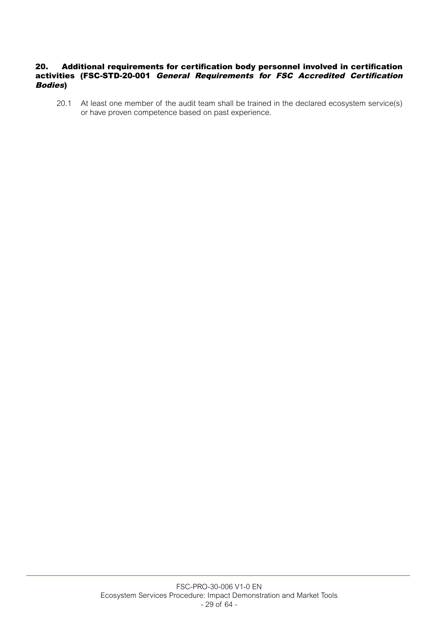## 20. Additional requirements for certification body personnel involved in certification activities (FSC-STD-20-001 General Requirements for FSC Accredited Certification Bodies)

20.1 At least one member of the audit team shall be trained in the declared ecosystem service(s) or have proven competence based on past experience.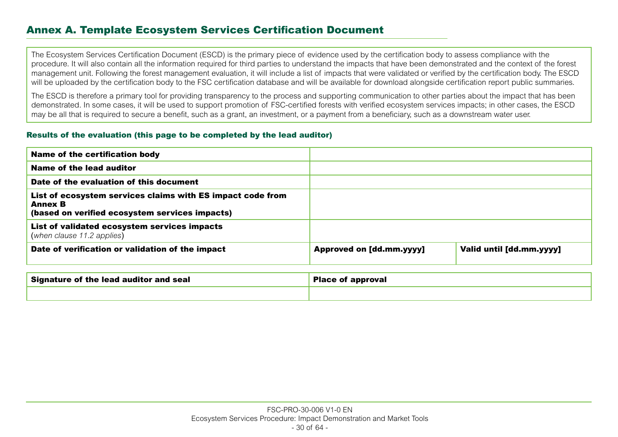# Annex A. Template Ecosystem Services Certification Document

The Ecosystem Services Certification Document (ESCD) is the primary piece of evidence used by the certification body to assess compliance with the procedure. It will also contain all the information required for third parties to understand the impacts that have been demonstrated and the context of the forest management unit. Following the forest management evaluation, it will include a list of impacts that were validated or verified by the certification body. The ESCD will be uploaded by the certification body to the FSC certification database and will be available for download alongside certification report public summaries.

The ESCD is therefore a primary tool for providing transparency to the process and supporting communication to other parties about the impact that has been demonstrated. In some cases, it will be used to support promotion of FSC-certified forests with verified ecosystem services impacts; in other cases, the ESCD may be all that is required to secure a benefit, such as a grant, an investment, or a payment from a beneficiary, such as a downstream water user.

#### Results of the evaluation (this page to be completed by the lead auditor)

| <b>Name of the certification body</b>                                                                                          |                                 |                          |
|--------------------------------------------------------------------------------------------------------------------------------|---------------------------------|--------------------------|
| Name of the lead auditor                                                                                                       |                                 |                          |
| Date of the evaluation of this document                                                                                        |                                 |                          |
| List of ecosystem services claims with ES impact code from<br><b>Annex B</b><br>(based on verified ecosystem services impacts) |                                 |                          |
| List of validated ecosystem services impacts<br>(when clause 11.2 applies)                                                     |                                 |                          |
| Date of verification or validation of the impact                                                                               | <b>Approved on [dd.mm.yyyy]</b> | Valid until [dd.mm.yyyy] |

| Signature of the lead auditor and seal | <b>Place of approval</b> |  |
|----------------------------------------|--------------------------|--|
|                                        |                          |  |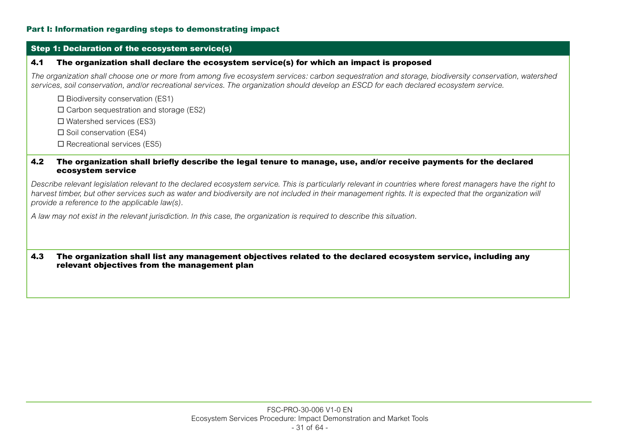#### Part I: Information regarding steps to demonstrating impact

#### Step 1: Declaration of the ecosystem service(s)

#### 4.1 The organization shall declare the ecosystem service(s) for which an impact is proposed

*The organization shall choose one or more from among five ecosystem services: carbon sequestration and storage, biodiversity conservation, watershed services, soil conservation, and/or recreational services. The organization should develop an ESCD for each declared ecosystem service.*

 $\square$  Biodiversity conservation (ES1)

 $\square$  Carbon sequestration and storage (ES2)

 $\square$  Watershed services (ES3)

 $\square$  Soil conservation (ES4)

 $\Box$  Recreational services (ES5)

#### 4.2 The organization shall briefly describe the legal tenure to manage, use, and/or receive payments for the declared ecosystem service

*Describe relevant legislation relevant to the declared ecosystem service. This is particularly relevant in countries where forest managers have the right to*  harvest timber, but other services such as water and biodiversity are not included in their management rights. It is expected that the organization will *provide a reference to the applicable law(s).*

*A law may not exist in the relevant jurisdiction. In this case, the organization is required to describe this situation.*

#### 4.3 The organization shall list any management objectives related to the declared ecosystem service, including any relevant objectives from the management plan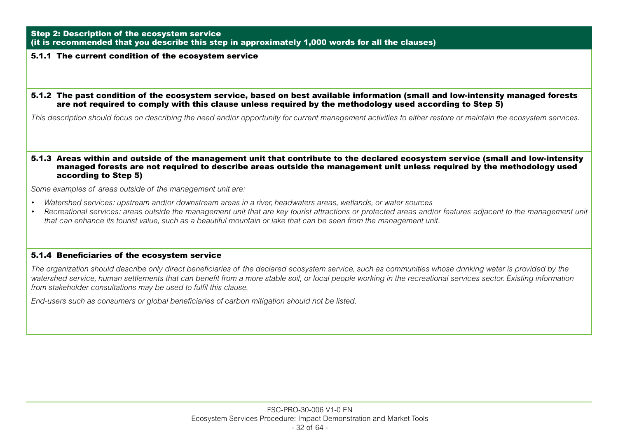#### Step 2: Description of the ecosystem service (it is recommended that you describe this step in approximately 1,000 words for all the clauses)

#### 5.1.1 The current condition of the ecosystem service

#### 5.1.2 The past condition of the ecosystem service, based on best available information (small and low-intensity managed forests are not required to comply with this clause unless required by the methodology used according to Step 5)

*This description should focus on describing the need and/or opportunity for current management activities to either restore or maintain the ecosystem services.*

#### 5.1.3 Areas within and outside of the management unit that contribute to the declared ecosystem service (small and low-intensity managed forests are not required to describe areas outside the management unit unless required by the methodology used according to Step 5)

*Some examples of areas outside of the management unit are:*

- *Watershed services: upstream and/or downstream areas in a river, headwaters areas, wetlands, or water sources*
- *Recreational services: areas outside the management unit that are key tourist attractions or protected areas and/or features adjacent to the management unit that can enhance its tourist value, such as a beautiful mountain or lake that can be seen from the management unit.*

#### 5.1.4 Beneficiaries of the ecosystem service

*The organization should describe only direct beneficiaries of the declared ecosystem service, such as communities whose drinking water is provided by the watershed service, human settlements that can benefit from a more stable soil, or local people working in the recreational services sector. Existing information from stakeholder consultations may be used to fulfil this clause.*

*End-users such as consumers or global beneficiaries of carbon mitigation should not be listed.*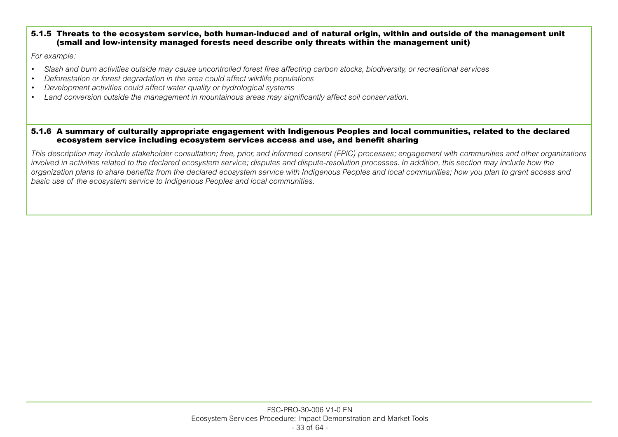#### 5.1.5 Threats to the ecosystem service, both human-induced and of natural origin, within and outside of the management unit (small and low-intensity managed forests need describe only threats within the management unit)

*For example:*

- *Slash and burn activities outside may cause uncontrolled forest fires affecting carbon stocks, biodiversity, or recreational services*
- *Deforestation or forest degradation in the area could affect wildlife populations*
- *Development activities could affect water quality or hydrological systems*
- *Land conversion outside the management in mountainous areas may significantly affect soil conservation.*

#### 5.1.6 A summary of culturally appropriate engagement with Indigenous Peoples and local communities, related to the declared ecosystem service including ecosystem services access and use, and benefit sharing

*This description may include stakeholder consultation; free, prior, and informed consent (FPIC) processes; engagement with communities and other organizations involved in activities related to the declared ecosystem service; disputes and dispute-resolution processes. In addition, this section may include how the organization plans to share benefits from the declared ecosystem service with Indigenous Peoples and local communities; how you plan to grant access and basic use of the ecosystem service to Indigenous Peoples and local communities.*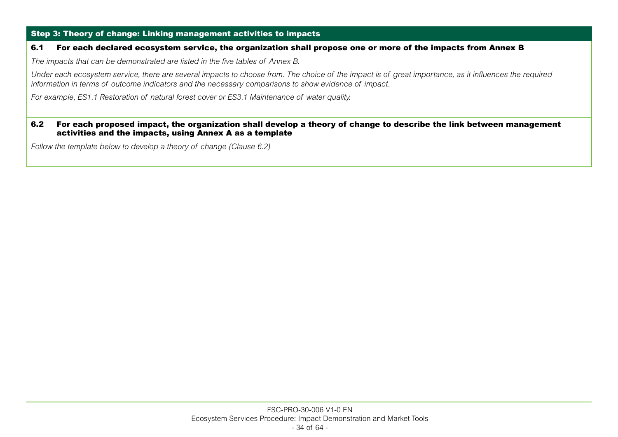## Step 3: Theory of change: Linking management activities to impacts

#### 6.1 For each declared ecosystem service, the organization shall propose one or more of the impacts from Annex B

*The impacts that can be demonstrated are listed in the five tables of Annex B.*

*Under each ecosystem service, there are several impacts to choose from. The choice of the impact is of great importance, as it influences the required information in terms of outcome indicators and the necessary comparisons to show evidence of impact.*

*For example, ES1.1 Restoration of natural forest cover or ES3.1 Maintenance of water quality.*

#### 6.2 For each proposed impact, the organization shall develop a theory of change to describe the link between management activities and the impacts, using Annex A as a template

*Follow the template below to develop a theory of change (Clause 6.2)*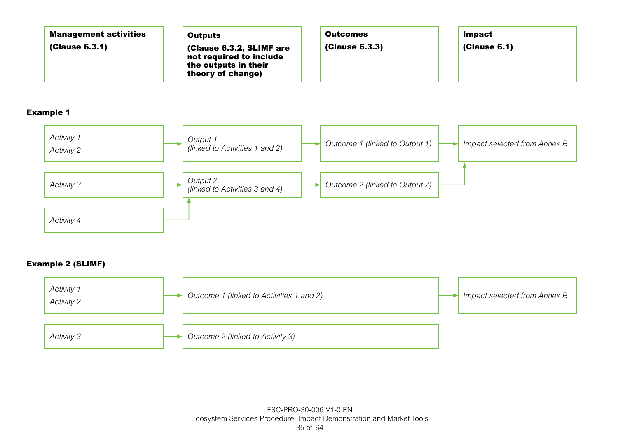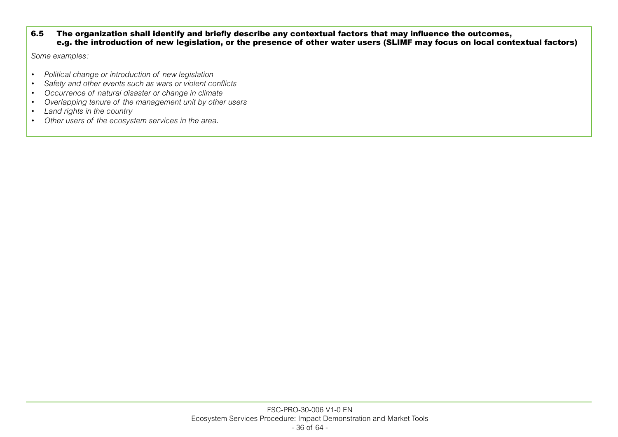#### 6.5 The organization shall identify and briefly describe any contextual factors that may influence the outcomes, e.g. the introduction of new legislation, or the presence of other water users (SLIMF may focus on local contextual factors)

*Some examples:*

- *Political change or introduction of new legislation*
- *Safety and other events such as wars or violent conflicts*
- *Occurrence of natural disaster or change in climate*
- *Overlapping tenure of the management unit by other users*
- *Land rights in the country*
- *Other users of the ecosystem services in the area.*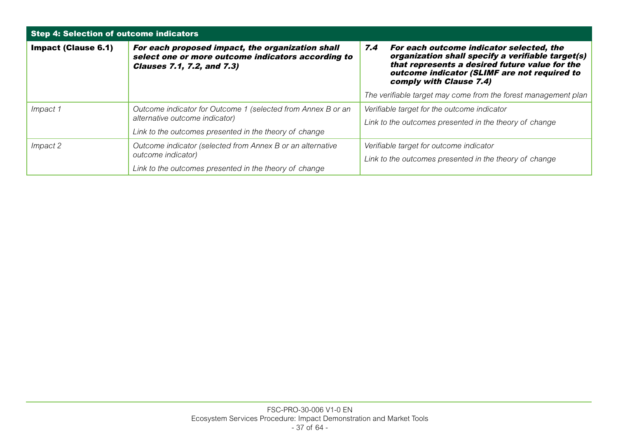| Step 4: Selection of outcome indicators                |                                                                                                                                             |                                                                                                                                                                                                                                   |  |  |  |
|--------------------------------------------------------|---------------------------------------------------------------------------------------------------------------------------------------------|-----------------------------------------------------------------------------------------------------------------------------------------------------------------------------------------------------------------------------------|--|--|--|
| <b>Impact (Clause 6.1)</b>                             | For each proposed impact, the organization shall<br>select one or more outcome indicators according to<br><b>Clauses 7.1, 7.2, and 7.3)</b> | 7.4<br>For each outcome indicator selected, the<br>organization shall specify a verifiable target(s)<br>that represents a desired future value for the<br>outcome indicator (SLIMF are not required to<br>comply with Clause 7.4) |  |  |  |
|                                                        |                                                                                                                                             | The verifiable target may come from the forest management plan                                                                                                                                                                    |  |  |  |
| Impact 1                                               | Outcome indicator for Outcome 1 (selected from Annex B or an                                                                                | Verifiable target for the outcome indicator                                                                                                                                                                                       |  |  |  |
|                                                        | alternative outcome indicator)                                                                                                              | Link to the outcomes presented in the theory of change                                                                                                                                                                            |  |  |  |
| Link to the outcomes presented in the theory of change |                                                                                                                                             |                                                                                                                                                                                                                                   |  |  |  |
| Impact 2                                               | Outcome indicator (selected from Annex B or an alternative                                                                                  | Verifiable target for outcome indicator                                                                                                                                                                                           |  |  |  |
|                                                        | outcome indicator)                                                                                                                          | Link to the outcomes presented in the theory of change                                                                                                                                                                            |  |  |  |
| Link to the outcomes presented in the theory of change |                                                                                                                                             |                                                                                                                                                                                                                                   |  |  |  |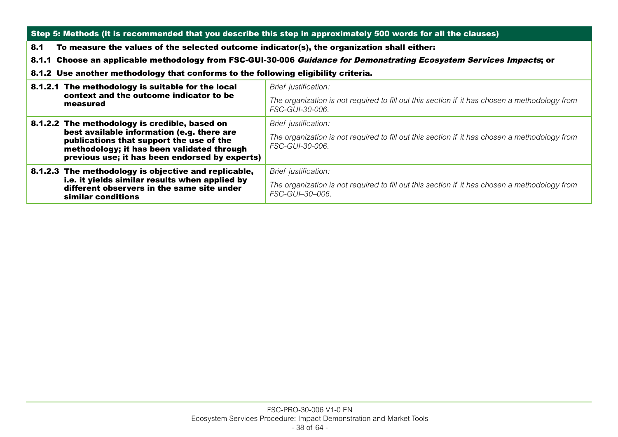| Step 5: Methods (it is recommended that you describe this step in approximately 500 words for all the clauses)                       |                                                                                                                      |  |  |
|--------------------------------------------------------------------------------------------------------------------------------------|----------------------------------------------------------------------------------------------------------------------|--|--|
| 8.1                                                                                                                                  | To measure the values of the selected outcome indicator(s), the organization shall either:                           |  |  |
|                                                                                                                                      | 8.1.1 Choose an applicable methodology from FSC-GUI-30-006 Guidance for Demonstrating Ecosystem Services Impacts; or |  |  |
| 8.1.2 Use another methodology that conforms to the following eligibility criteria.                                                   |                                                                                                                      |  |  |
| 8.1.2.1 The methodology is suitable for the local                                                                                    | Brief justification:                                                                                                 |  |  |
| context and the outcome indicator to be<br>measured                                                                                  | The organization is not required to fill out this section if it has chosen a methodology from<br>FSC-GUL30-006.      |  |  |
| 8.1.2.2 The methodology is credible, based on                                                                                        | Brief justification:                                                                                                 |  |  |
| best available information (e.g. there are<br>publications that support the use of the<br>methodology; it has been validated through | The organization is not required to fill out this section if it has chosen a methodology from<br>FSC-GUI-30-006.     |  |  |
| previous use; it has been endorsed by experts)                                                                                       |                                                                                                                      |  |  |
| 8.1.2.3 The methodology is objective and replicable,<br>i.e. it yields similar results when applied by                               | Brief justification:                                                                                                 |  |  |
| different observers in the same site under<br>similar conditions                                                                     | The organization is not required to fill out this section if it has chosen a methodology from<br>FSC-GUI-30-006.     |  |  |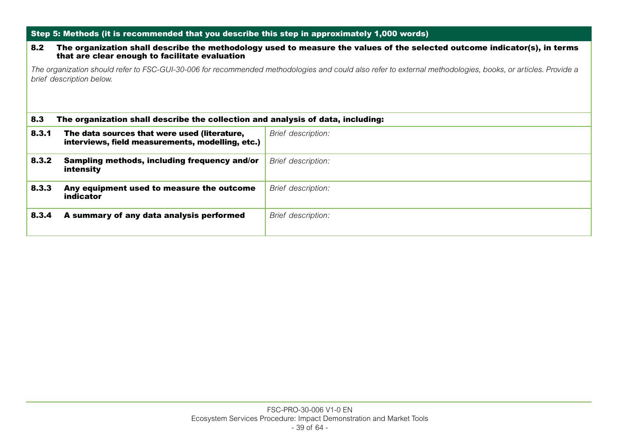|       | Step 5: Methods (it is recommended that you describe this step in approximately 1,000 words)                                                                                            |                           |  |  |  |
|-------|-----------------------------------------------------------------------------------------------------------------------------------------------------------------------------------------|---------------------------|--|--|--|
| 8.2   | The organization shall describe the methodology used to measure the values of the selected outcome indicator(s), in terms<br>that are clear enough to facilitate evaluation             |                           |  |  |  |
|       | The organization should refer to FSC-GUI-30-006 for recommended methodologies and could also refer to external methodologies, books, or articles. Provide a<br>brief description below. |                           |  |  |  |
| 8.3   | The organization shall describe the collection and analysis of data, including:                                                                                                         |                           |  |  |  |
| 8.3.1 | The data sources that were used (literature,<br>interviews, field measurements, modelling, etc.)                                                                                        | <b>Brief description:</b> |  |  |  |
| 8.3.2 | Sampling methods, including frequency and/or<br>intensity                                                                                                                               | Brief description:        |  |  |  |
| 8.3.3 | Any equipment used to measure the outcome<br>indicator                                                                                                                                  | Brief description:        |  |  |  |
| 8.3.4 | A summary of any data analysis performed                                                                                                                                                | Brief description:        |  |  |  |
|       |                                                                                                                                                                                         |                           |  |  |  |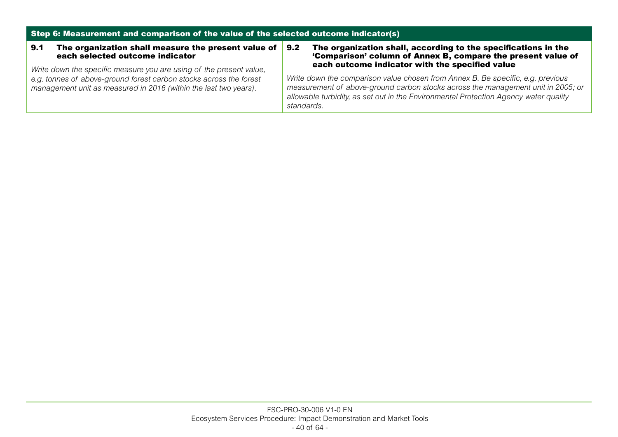| Step 6: Measurement and comparison of the value of the selected outcome indicator(s)                                                                                                                          |                                                                                                                                                                                                                                                                           |  |  |
|---------------------------------------------------------------------------------------------------------------------------------------------------------------------------------------------------------------|---------------------------------------------------------------------------------------------------------------------------------------------------------------------------------------------------------------------------------------------------------------------------|--|--|
| The organization shall measure the present value of<br>9.1<br>each selected outcome indicator                                                                                                                 | The organization shall, according to the specifications in the<br>9.2<br>'Comparison' column of Annex B, compare the present value of<br>each outcome indicator with the specified value                                                                                  |  |  |
| Write down the specific measure you are using of the present value,<br>e.g. tonnes of above-ground forest carbon stocks across the forest<br>management unit as measured in 2016 (within the last two years). | Write down the comparison value chosen from Annex B. Be specific, e.g. previous<br>measurement of above-ground carbon stocks across the management unit in 2005; or<br>allowable turbidity, as set out in the Environmental Protection Agency water quality<br>standards. |  |  |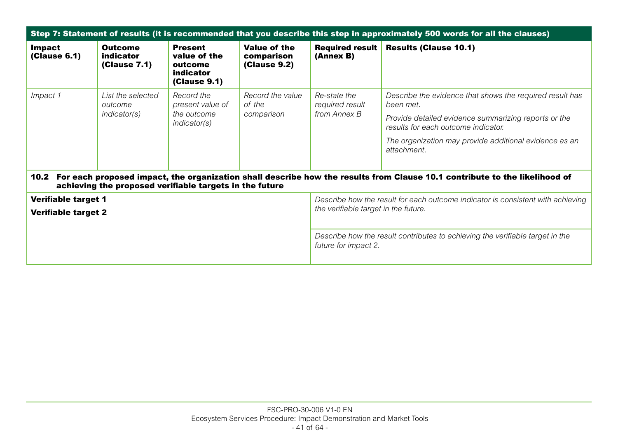| Step 7: Statement of results (it is recommended that you describe this step in approximately 500 words for all the clauses)                                                                |                                                     |                                                                                                                         |                                                   |                                                 |                                                                                                                                                                                                                                               |
|--------------------------------------------------------------------------------------------------------------------------------------------------------------------------------------------|-----------------------------------------------------|-------------------------------------------------------------------------------------------------------------------------|---------------------------------------------------|-------------------------------------------------|-----------------------------------------------------------------------------------------------------------------------------------------------------------------------------------------------------------------------------------------------|
| <b>Impact</b><br>(Clause 6.1)                                                                                                                                                              | <b>Outcome</b><br>indicator<br>(Clause 7.1)         | <b>Present</b><br>value of the<br>outcome<br>indicator<br><b>(Clause 9.1)</b>                                           | Value of the<br>comparison<br><b>(Clause 9.2)</b> | <b>Required result</b><br>(Annex B)             | <b>Results (Clause 10.1)</b>                                                                                                                                                                                                                  |
| Impact 1                                                                                                                                                                                   | List the selected<br>outcome<br><i>indicator(s)</i> | Record the<br>present value of<br>the outcome<br><i>indicator(s)</i>                                                    | Record the value<br>of the<br>comparison          | Re-state the<br>required result<br>from Annex B | Describe the evidence that shows the required result has<br>been met.<br>Provide detailed evidence summarizing reports or the<br>results for each outcome indicator.<br>The organization may provide additional evidence as an<br>attachment. |
| 10.2 For each proposed impact, the organization shall describe how the results from Clause 10.1 contribute to the likelihood of<br>achieving the proposed verifiable targets in the future |                                                     |                                                                                                                         |                                                   |                                                 |                                                                                                                                                                                                                                               |
| <b>Verifiable target 1</b><br><b>Verifiable target 2</b>                                                                                                                                   |                                                     | Describe how the result for each outcome indicator is consistent with achieving<br>the verifiable target in the future. |                                                   |                                                 |                                                                                                                                                                                                                                               |
|                                                                                                                                                                                            |                                                     | Describe how the result contributes to achieving the verifiable target in the<br>future for impact 2.                   |                                                   |                                                 |                                                                                                                                                                                                                                               |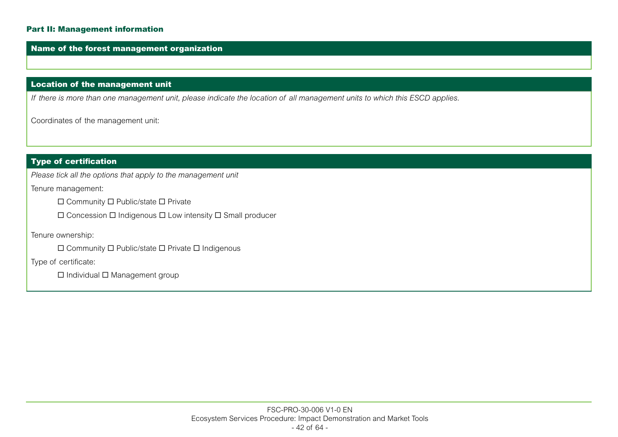### Part II: Management information

#### Name of the forest management organization

# Location of the management unit

*If there is more than one management unit, please indicate the location of all management units to which this ESCD applies.*

Coordinates of the management unit:

# Type of certification

*Please tick all the options that apply to the management unit*

Tenure management:

 $\square$  Community  $\square$  Public/state  $\square$  Private

 $\Box$  Concession  $\Box$  Indigenous  $\Box$  Low intensity  $\Box$  Small producer

Tenure ownership:

 $\square$  Community  $\square$  Public/state  $\square$  Private  $\square$  Indigenous

Type of certificate:

 $\square$  Individual  $\square$  Management group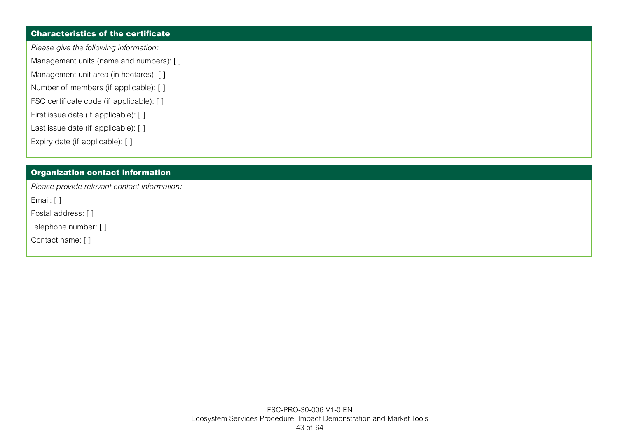# Characteristics of the certificate

*Please give the following information:*

Management units (name and numbers): []

- Management unit area (in hectares): []
- Number of members (if applicable): []
- FSC certificate code (if applicable): [ ]
- First issue date (if applicable): []
- Last issue date (if applicable): []
- Expiry date (if applicable): []

# Organization contact information

*Please provide relevant contact information:*

Email: [ ]

Postal address: [ ]

Telephone number: [ ]

Contact name: [ ]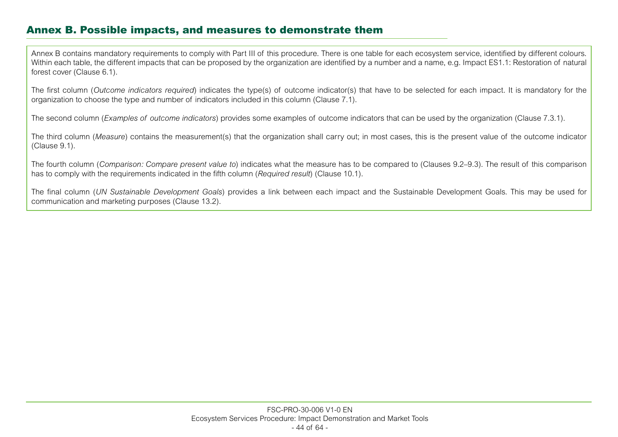# Annex B. Possible impacts, and measures to demonstrate them

Annex B contains mandatory requirements to comply with Part III of this procedure. There is one table for each ecosystem service, identified by different colours. Within each table, the different impacts that can be proposed by the organization are identified by a number and a name, e.g. Impact ES1.1: Restoration of natural forest cover (Clause 6.1).

The first column (*Outcome indicators required*) indicates the type(s) of outcome indicator(s) that have to be selected for each impact. It is mandatory for the organization to choose the type and number of indicators included in this column (Clause 7.1).

The second column (*Examples of outcome indicators*) provides some examples of outcome indicators that can be used by the organization (Clause 7.3.1).

The third column (*Measure*) contains the measurement(s) that the organization shall carry out; in most cases, this is the present value of the outcome indicator (Clause 9.1).

The fourth column (*Comparison: Compare present value to*) indicates what the measure has to be compared to (Clauses 9.2–9.3). The result of this comparison has to comply with the requirements indicated in the fifth column (*Required result*) (Clause 10.1).

The final column (*UN Sustainable Development Goals*) provides a link between each impact and the Sustainable Development Goals. This may be used for communication and marketing purposes (Clause 13.2).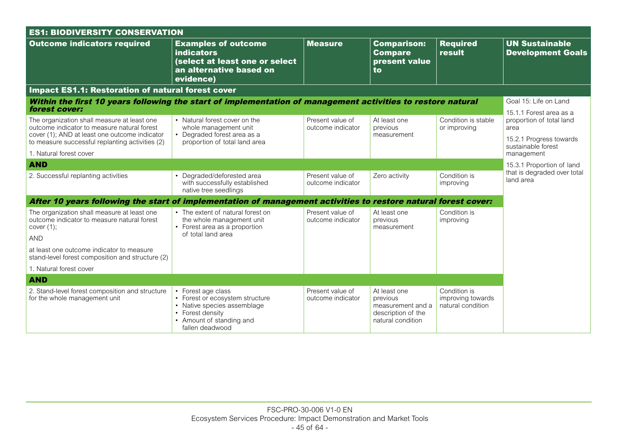| <b>ES1: BIODIVERSITY CONSERVATION</b>                                                                                                                                                          |                                                                                                                                                         |                                       |                                                                                          |                                                        |                                                                                                              |  |  |
|------------------------------------------------------------------------------------------------------------------------------------------------------------------------------------------------|---------------------------------------------------------------------------------------------------------------------------------------------------------|---------------------------------------|------------------------------------------------------------------------------------------|--------------------------------------------------------|--------------------------------------------------------------------------------------------------------------|--|--|
| <b>Outcome indicators required</b>                                                                                                                                                             | <b>Examples of outcome</b><br><b>indicators</b><br>(select at least one or select<br>an alternative based on<br>evidence)                               | <b>Measure</b>                        | <b>Comparison:</b><br><b>Compare</b><br>present value<br>to                              | <b>Required</b><br>result                              | <b>UN Sustainable</b><br><b>Development Goals</b>                                                            |  |  |
| <b>Impact ES1.1: Restoration of natural forest cover</b>                                                                                                                                       |                                                                                                                                                         |                                       |                                                                                          |                                                        |                                                                                                              |  |  |
| Within the first 10 years following the start of implementation of management activities to restore natural<br>forest cover:                                                                   |                                                                                                                                                         |                                       |                                                                                          |                                                        | Goal 15: Life on Land                                                                                        |  |  |
| The organization shall measure at least one<br>outcome indicator to measure natural forest<br>cover (1); AND at least one outcome indicator<br>to measure successful replanting activities (2) | • Natural forest cover on the<br>whole management unit<br>• Degraded forest area as a<br>proportion of total land area                                  | Present value of<br>outcome indicator | At least one<br>previous<br>measurement                                                  | Condition is stable<br>or improving                    | 15.1.1 Forest area as a<br>proportion of total land<br>area<br>15.2.1 Progress towards<br>sustainable forest |  |  |
| 1. Natural forest cover                                                                                                                                                                        |                                                                                                                                                         |                                       |                                                                                          |                                                        | management                                                                                                   |  |  |
| <b>AND</b>                                                                                                                                                                                     |                                                                                                                                                         |                                       |                                                                                          |                                                        | 15.3.1 Proportion of land                                                                                    |  |  |
| 2. Successful replanting activities                                                                                                                                                            | • Degraded/deforested area<br>with successfully established<br>native tree seedlings                                                                    | Present value of<br>outcome indicator | Zero activity                                                                            | Condition is<br>improving                              | that is degraded over total<br>land area                                                                     |  |  |
| After 10 years following the start of implementation of management activities to restore natural forest cover:                                                                                 |                                                                                                                                                         |                                       |                                                                                          |                                                        |                                                                                                              |  |  |
| The organization shall measure at least one<br>outcome indicator to measure natural forest<br>cover $(1)$ ;<br><b>AND</b>                                                                      | • The extent of natural forest on<br>the whole management unit<br>• Forest area as a proportion<br>of total land area                                   | Present value of<br>outcome indicator | At least one<br>previous<br>measurement                                                  | Condition is<br>improving                              |                                                                                                              |  |  |
| at least one outcome indicator to measure<br>stand-level forest composition and structure (2)                                                                                                  |                                                                                                                                                         |                                       |                                                                                          |                                                        |                                                                                                              |  |  |
| 1. Natural forest cover                                                                                                                                                                        |                                                                                                                                                         |                                       |                                                                                          |                                                        |                                                                                                              |  |  |
| <b>AND</b>                                                                                                                                                                                     |                                                                                                                                                         |                                       |                                                                                          |                                                        |                                                                                                              |  |  |
| 2. Stand-level forest composition and structure<br>for the whole management unit                                                                                                               | • Forest age class<br>• Forest or ecosystem structure<br>• Native species assemblage<br>• Forest density<br>• Amount of standing and<br>fallen deadwood | Present value of<br>outcome indicator | At least one<br>previous<br>measurement and a<br>description of the<br>natural condition | Condition is<br>improving towards<br>natural condition |                                                                                                              |  |  |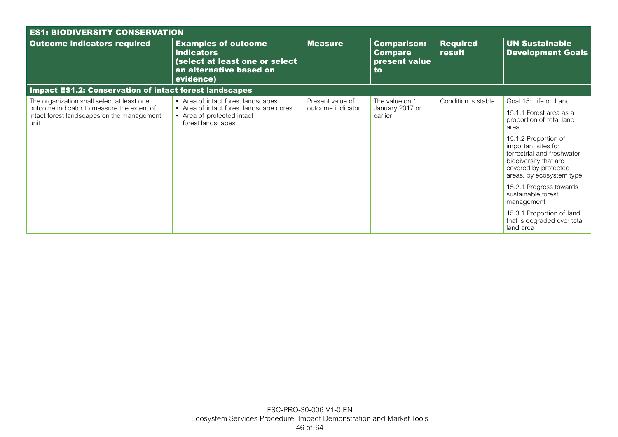| <b>ES1: BIODIVERSITY CONSERVATION</b>                                                            |                                                                                                                           |                   |                                                             |                           |                                                                                                                                                                                                                       |  |  |  |
|--------------------------------------------------------------------------------------------------|---------------------------------------------------------------------------------------------------------------------------|-------------------|-------------------------------------------------------------|---------------------------|-----------------------------------------------------------------------------------------------------------------------------------------------------------------------------------------------------------------------|--|--|--|
| <b>Outcome indicators required</b>                                                               | <b>Examples of outcome</b><br><b>indicators</b><br>(select at least one or select<br>an alternative based on<br>evidence) | <b>Measure</b>    | <b>Comparison:</b><br><b>Compare</b><br>present value<br>to | <b>Required</b><br>result | <b>UN Sustainable</b><br><b>Development Goals</b>                                                                                                                                                                     |  |  |  |
| <b>Impact ES1.2: Conservation of intact forest landscapes</b>                                    |                                                                                                                           |                   |                                                             |                           |                                                                                                                                                                                                                       |  |  |  |
| The organization shall select at least one                                                       | • Area of intact forest landscapes                                                                                        | Present value of  | The value on 1                                              | Condition is stable       | Goal 15: Life on Land                                                                                                                                                                                                 |  |  |  |
| outcome indicator to measure the extent of<br>intact forest landscapes on the management<br>unit | • Area of intact forest landscape cores<br>• Area of protected intact<br>forest landscapes                                | outcome indicator | January 2017 or<br>earlier                                  |                           | 15.1.1 Forest area as a<br>proportion of total land<br>area<br>15.1.2 Proportion of<br>important sites for<br>terrestrial and freshwater<br>biodiversity that are<br>covered by protected<br>areas, by ecosystem type |  |  |  |
|                                                                                                  |                                                                                                                           |                   |                                                             |                           | 15.2.1 Progress towards<br>sustainable forest<br>management                                                                                                                                                           |  |  |  |
|                                                                                                  |                                                                                                                           |                   |                                                             |                           | 15.3.1 Proportion of land<br>that is degraded over total<br>land area                                                                                                                                                 |  |  |  |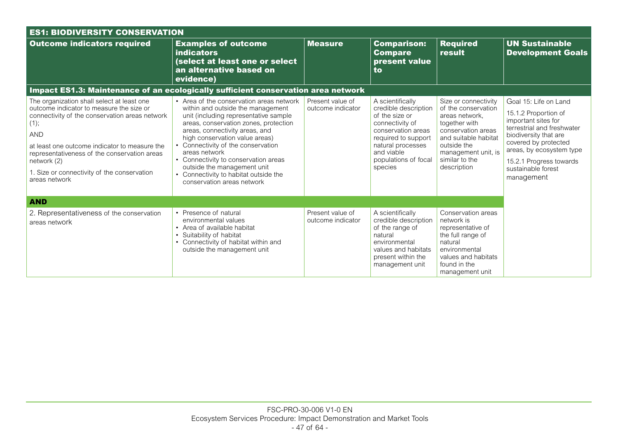| <b>ES1: BIODIVERSITY CONSERVATION</b>                                                                                                                                                                                                                                                                                                          |                                                                                                                                                                                                                                                                                                                                                                                                                                          |                                       |                                                                                                                                                                                                  |                                                                                                                                                                                                     |                                                                                                                                                                                                                                                |  |  |  |
|------------------------------------------------------------------------------------------------------------------------------------------------------------------------------------------------------------------------------------------------------------------------------------------------------------------------------------------------|------------------------------------------------------------------------------------------------------------------------------------------------------------------------------------------------------------------------------------------------------------------------------------------------------------------------------------------------------------------------------------------------------------------------------------------|---------------------------------------|--------------------------------------------------------------------------------------------------------------------------------------------------------------------------------------------------|-----------------------------------------------------------------------------------------------------------------------------------------------------------------------------------------------------|------------------------------------------------------------------------------------------------------------------------------------------------------------------------------------------------------------------------------------------------|--|--|--|
| <b>Outcome indicators required</b>                                                                                                                                                                                                                                                                                                             | <b>Examples of outcome</b><br><b>indicators</b><br>(select at least one or select<br>an alternative based on<br>evidence)                                                                                                                                                                                                                                                                                                                | <b>Measure</b>                        | <b>Comparison:</b><br><b>Compare</b><br>present value<br>to                                                                                                                                      | <b>Required</b><br>result                                                                                                                                                                           | <b>UN Sustainable</b><br><b>Development Goals</b>                                                                                                                                                                                              |  |  |  |
| Impact ES1.3: Maintenance of an ecologically sufficient conservation area network                                                                                                                                                                                                                                                              |                                                                                                                                                                                                                                                                                                                                                                                                                                          |                                       |                                                                                                                                                                                                  |                                                                                                                                                                                                     |                                                                                                                                                                                                                                                |  |  |  |
| The organization shall select at least one<br>outcome indicator to measure the size or<br>connectivity of the conservation areas network<br>(1);<br><b>AND</b><br>at least one outcome indicator to measure the<br>representativeness of the conservation areas<br>network (2)<br>1. Size or connectivity of the conservation<br>areas network | • Area of the conservation areas network<br>within and outside the management<br>unit (including representative sample<br>areas, conservation zones, protection<br>areas, connectivity areas, and<br>high conservation value areas)<br>• Connectivity of the conservation<br>areas network<br>• Connectivity to conservation areas<br>outside the management unit<br>• Connectivity to habitat outside the<br>conservation areas network | Present value of<br>outcome indicator | A scientifically<br>credible description<br>of the size or<br>connectivity of<br>conservation areas<br>required to support<br>natural processes<br>and viable<br>populations of focal<br>species | Size or connectivity<br>of the conservation<br>areas network.<br>together with<br>conservation areas<br>and suitable habitat<br>outside the<br>management unit, is<br>similar to the<br>description | Goal 15: Life on Land<br>15.1.2 Proportion of<br>important sites for<br>terrestrial and freshwater<br>biodiversity that are<br>covered by protected<br>areas, by ecosystem type<br>15.2.1 Progress towards<br>sustainable forest<br>management |  |  |  |
| <b>AND</b>                                                                                                                                                                                                                                                                                                                                     |                                                                                                                                                                                                                                                                                                                                                                                                                                          |                                       |                                                                                                                                                                                                  |                                                                                                                                                                                                     |                                                                                                                                                                                                                                                |  |  |  |
| 2. Representativeness of the conservation<br>areas network                                                                                                                                                                                                                                                                                     | • Presence of natural<br>environmental values<br>• Area of available habitat<br>• Suitability of habitat<br>• Connectivity of habitat within and<br>outside the management unit                                                                                                                                                                                                                                                          | Present value of<br>outcome indicator | A scientifically<br>credible description<br>of the range of<br>natural<br>environmental<br>values and habitats<br>present within the<br>management unit                                          | Conservation areas<br>network is<br>representative of<br>the full range of<br>natural<br>environmental<br>values and habitats<br>found in the<br>management unit                                    |                                                                                                                                                                                                                                                |  |  |  |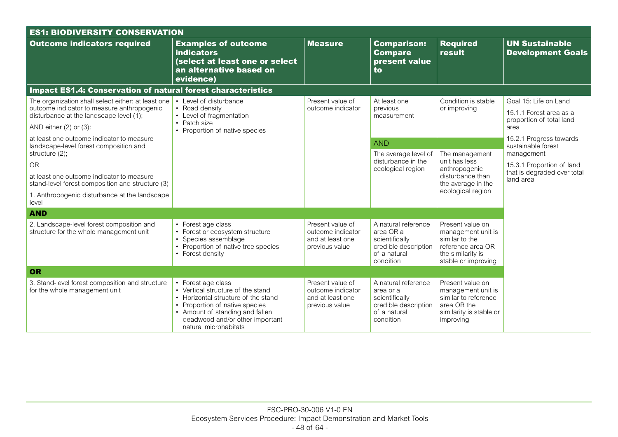| <b>ES1: BIODIVERSITY CONSERVATION</b>                                                                                                                                      |                                                                                                                                                                                                                                 |                                                                             |                                                                                                         |                                                                                                                           |                                                                                      |  |  |  |
|----------------------------------------------------------------------------------------------------------------------------------------------------------------------------|---------------------------------------------------------------------------------------------------------------------------------------------------------------------------------------------------------------------------------|-----------------------------------------------------------------------------|---------------------------------------------------------------------------------------------------------|---------------------------------------------------------------------------------------------------------------------------|--------------------------------------------------------------------------------------|--|--|--|
| <b>Outcome indicators required</b>                                                                                                                                         | <b>Examples of outcome</b><br><b>indicators</b><br>(select at least one or select<br>an alternative based on<br>evidence)                                                                                                       | <b>Measure</b>                                                              | <b>Comparison:</b><br><b>Compare</b><br>present value<br>to                                             | <b>Required</b><br>result                                                                                                 | <b>UN Sustainable</b><br><b>Development Goals</b>                                    |  |  |  |
| <b>Impact ES1.4: Conservation of natural forest characteristics</b>                                                                                                        |                                                                                                                                                                                                                                 |                                                                             |                                                                                                         |                                                                                                                           |                                                                                      |  |  |  |
| The organization shall select either: at least one<br>outcome indicator to measure anthropogenic<br>disturbance at the landscape level (1);<br>AND either $(2)$ or $(3)$ : | • Level of disturbance<br>• Road density<br>• Level of fragmentation<br>• Patch size<br>• Proportion of native species                                                                                                          | Present value of<br>outcome indicator                                       | At least one<br>previous<br>measurement                                                                 | Condition is stable<br>or improving                                                                                       | Goal 15: Life on Land<br>15.1.1 Forest area as a<br>proportion of total land<br>area |  |  |  |
| at least one outcome indicator to measure                                                                                                                                  |                                                                                                                                                                                                                                 |                                                                             |                                                                                                         |                                                                                                                           | 15.2.1 Progress towards                                                              |  |  |  |
| landscape-level forest composition and<br>structure (2);                                                                                                                   |                                                                                                                                                                                                                                 | <b>AND</b>                                                                  | The average level of                                                                                    | The management                                                                                                            | sustainable forest<br>management                                                     |  |  |  |
| <b>OR</b>                                                                                                                                                                  |                                                                                                                                                                                                                                 |                                                                             | disturbance in the<br>ecological region<br>anthropogenic<br>disturbance than<br>the average in the      | unit has less                                                                                                             | 15.3.1 Proportion of land                                                            |  |  |  |
| at least one outcome indicator to measure<br>stand-level forest composition and structure (3)                                                                              |                                                                                                                                                                                                                                 |                                                                             |                                                                                                         |                                                                                                                           | that is degraded over total<br>land area                                             |  |  |  |
| 1. Anthropogenic disturbance at the landscape<br>level                                                                                                                     |                                                                                                                                                                                                                                 |                                                                             |                                                                                                         | ecological region                                                                                                         |                                                                                      |  |  |  |
| <b>AND</b>                                                                                                                                                                 |                                                                                                                                                                                                                                 |                                                                             |                                                                                                         |                                                                                                                           |                                                                                      |  |  |  |
| 2. Landscape-level forest composition and<br>structure for the whole management unit                                                                                       | • Forest age class<br>• Forest or ecosystem structure<br>• Species assemblage<br>• Proportion of native tree species<br>• Forest density                                                                                        | Present value of<br>outcome indicator<br>and at least one<br>previous value | A natural reference<br>area OR a<br>scientifically<br>credible description<br>of a natural<br>condition | Present value on<br>management unit is<br>similar to the<br>reference area OR<br>the similarity is<br>stable or improving |                                                                                      |  |  |  |
| OR                                                                                                                                                                         |                                                                                                                                                                                                                                 |                                                                             |                                                                                                         |                                                                                                                           |                                                                                      |  |  |  |
| 3. Stand-level forest composition and structure<br>for the whole management unit                                                                                           | • Forest age class<br>• Vertical structure of the stand<br>• Horizontal structure of the stand<br>• Proportion of native species<br>• Amount of standing and fallen<br>deadwood and/or other important<br>natural microhabitats | Present value of<br>outcome indicator<br>and at least one<br>previous value | A natural reference<br>area or a<br>scientifically<br>credible description<br>of a natural<br>condition | Present value on<br>management unit is<br>similar to reference<br>area OR the<br>similarity is stable or<br>improving     |                                                                                      |  |  |  |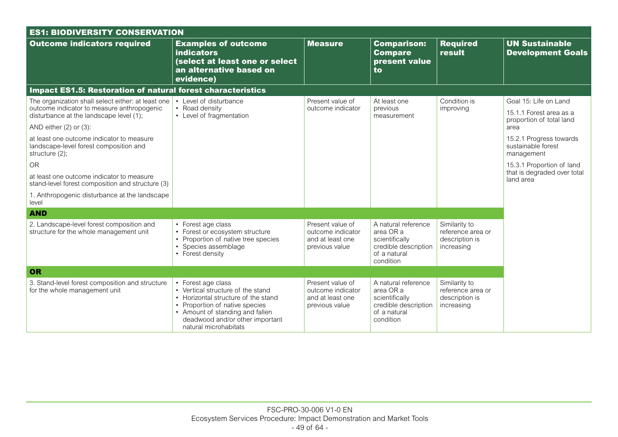| <b>ES1: BIODIVERSITY CONSERVATION</b>                                                                                                       |                                                                                                                                                                                                                                 |                                                                             |                                                                                                         |                                                                    |                                                                              |  |  |
|---------------------------------------------------------------------------------------------------------------------------------------------|---------------------------------------------------------------------------------------------------------------------------------------------------------------------------------------------------------------------------------|-----------------------------------------------------------------------------|---------------------------------------------------------------------------------------------------------|--------------------------------------------------------------------|------------------------------------------------------------------------------|--|--|
| <b>Outcome indicators required</b>                                                                                                          | <b>Examples of outcome</b><br><b>indicators</b><br>(select at least one or select<br>an alternative based on<br>evidence)                                                                                                       | <b>Measure</b>                                                              | <b>Comparison:</b><br><b>Compare</b><br>present value<br>to                                             | <b>Required</b><br>result                                          | <b>UN Sustainable</b><br><b>Development Goals</b>                            |  |  |
| <b>Impact ES1.5: Restoration of natural forest characteristics</b>                                                                          |                                                                                                                                                                                                                                 |                                                                             |                                                                                                         |                                                                    |                                                                              |  |  |
| The organization shall select either: at least one<br>outcome indicator to measure anthropogenic<br>disturbance at the landscape level (1); | • Level of disturbance<br>• Road density<br>• Level of fragmentation                                                                                                                                                            | Present value of<br>outcome indicator                                       | At least one<br>previous<br>measurement                                                                 | Condition is<br>improving                                          | Goal 15: Life on Land<br>15.1.1 Forest area as a<br>proportion of total land |  |  |
| AND either $(2)$ or $(3)$ :                                                                                                                 |                                                                                                                                                                                                                                 |                                                                             |                                                                                                         |                                                                    | area                                                                         |  |  |
| at least one outcome indicator to measure<br>landscape-level forest composition and<br>structure (2);                                       |                                                                                                                                                                                                                                 |                                                                             |                                                                                                         |                                                                    | 15.2.1 Progress towards<br>sustainable forest<br>management                  |  |  |
| <b>OR</b>                                                                                                                                   |                                                                                                                                                                                                                                 |                                                                             |                                                                                                         |                                                                    | 15.3.1 Proportion of land                                                    |  |  |
| at least one outcome indicator to measure<br>stand-level forest composition and structure (3)                                               |                                                                                                                                                                                                                                 |                                                                             |                                                                                                         |                                                                    | that is degraded over total<br>land area                                     |  |  |
| 1. Anthropogenic disturbance at the landscape<br>level                                                                                      |                                                                                                                                                                                                                                 |                                                                             |                                                                                                         |                                                                    |                                                                              |  |  |
| <b>AND</b>                                                                                                                                  |                                                                                                                                                                                                                                 |                                                                             |                                                                                                         |                                                                    |                                                                              |  |  |
| 2. Landscape-level forest composition and<br>structure for the whole management unit                                                        | • Forest age class<br>• Forest or ecosystem structure<br>• Proportion of native tree species<br>• Species assemblage<br>• Forest density                                                                                        | Present value of<br>outcome indicator<br>and at least one<br>previous value | A natural reference<br>area OR a<br>scientifically<br>credible description<br>of a natural<br>condition | Similarity to<br>reference area or<br>description is<br>increasing |                                                                              |  |  |
| OR                                                                                                                                          |                                                                                                                                                                                                                                 |                                                                             |                                                                                                         |                                                                    |                                                                              |  |  |
| 3. Stand-level forest composition and structure<br>for the whole management unit                                                            | • Forest age class<br>• Vertical structure of the stand<br>• Horizontal structure of the stand<br>• Proportion of native species<br>• Amount of standing and fallen<br>deadwood and/or other important<br>natural microhabitats | Present value of<br>outcome indicator<br>and at least one<br>previous value | A natural reference<br>area OR a<br>scientifically<br>credible description<br>of a natural<br>condition | Similarity to<br>reference area or<br>description is<br>increasing |                                                                              |  |  |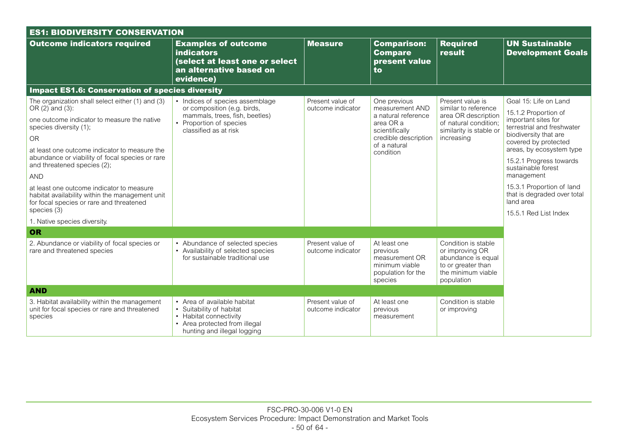| <b>ES1: BIODIVERSITY CONSERVATION</b>                                                                                                                   |                                                                                                                                                   |                                       |                                                                                               |                                                                                                                        |                                                                           |  |  |
|---------------------------------------------------------------------------------------------------------------------------------------------------------|---------------------------------------------------------------------------------------------------------------------------------------------------|---------------------------------------|-----------------------------------------------------------------------------------------------|------------------------------------------------------------------------------------------------------------------------|---------------------------------------------------------------------------|--|--|
| <b>Outcome indicators required</b>                                                                                                                      | <b>Examples of outcome</b><br><b>indicators</b><br>(select at least one or select<br>an alternative based on<br>evidence)                         | <b>Measure</b>                        | <b>Comparison:</b><br><b>Compare</b><br>present value<br>to                                   | <b>Required</b><br>result                                                                                              | <b>UN Sustainable</b><br><b>Development Goals</b>                         |  |  |
| <b>Impact ES1.6: Conservation of species diversity</b>                                                                                                  |                                                                                                                                                   |                                       |                                                                                               |                                                                                                                        |                                                                           |  |  |
| The organization shall select either (1) and (3)<br>OR $(2)$ and $(3)$ :                                                                                | • Indices of species assemblage<br>or composition (e.g. birds,                                                                                    | Present value of<br>outcome indicator | One previous<br>measurement AND                                                               | Present value is<br>similar to reference                                                                               | Goal 15: Life on Land<br>15.1.2 Proportion of                             |  |  |
| one outcome indicator to measure the native<br>species diversity (1);                                                                                   | mammals, trees, fish, beetles)<br>• Proportion of species<br>classified as at risk                                                                |                                       | a natural reference<br>area OR a<br>scientifically                                            | area OR description<br>of natural condition:<br>similarity is stable or                                                | important sites for<br>terrestrial and freshwater                         |  |  |
| <b>OR</b>                                                                                                                                               |                                                                                                                                                   |                                       | credible description                                                                          | increasing                                                                                                             | biodiversity that are<br>covered by protected                             |  |  |
| at least one outcome indicator to measure the<br>abundance or viability of focal species or rare<br>and threatened species (2);                         |                                                                                                                                                   |                                       | of a natural<br>condition                                                                     |                                                                                                                        | areas, by ecosystem type<br>15.2.1 Progress towards<br>sustainable forest |  |  |
| <b>AND</b>                                                                                                                                              |                                                                                                                                                   |                                       |                                                                                               |                                                                                                                        | management                                                                |  |  |
| at least one outcome indicator to measure<br>habitat availability within the management unit<br>for focal species or rare and threatened<br>species (3) |                                                                                                                                                   |                                       |                                                                                               |                                                                                                                        | 15.3.1 Proportion of land<br>that is degraded over total<br>land area     |  |  |
| 1. Native species diversity.                                                                                                                            |                                                                                                                                                   |                                       |                                                                                               |                                                                                                                        | 15.5.1 Red List Index                                                     |  |  |
| OR                                                                                                                                                      |                                                                                                                                                   |                                       |                                                                                               |                                                                                                                        |                                                                           |  |  |
| 2. Abundance or viability of focal species or<br>rare and threatened species                                                                            | • Abundance of selected species<br>• Availability of selected species<br>for sustainable traditional use                                          | Present value of<br>outcome indicator | At least one<br>previous<br>measurement OR<br>minimum viable<br>population for the<br>species | Condition is stable<br>or improving OR<br>abundance is equal<br>to or greater than<br>the minimum viable<br>population |                                                                           |  |  |
| <b>AND</b>                                                                                                                                              |                                                                                                                                                   |                                       |                                                                                               |                                                                                                                        |                                                                           |  |  |
| 3. Habitat availability within the management<br>unit for focal species or rare and threatened<br>species                                               | • Area of available habitat<br>• Suitability of habitat<br>• Habitat connectivity<br>• Area protected from illegal<br>hunting and illegal logging | Present value of<br>outcome indicator | At least one<br>previous<br>measurement                                                       | Condition is stable<br>or improving                                                                                    |                                                                           |  |  |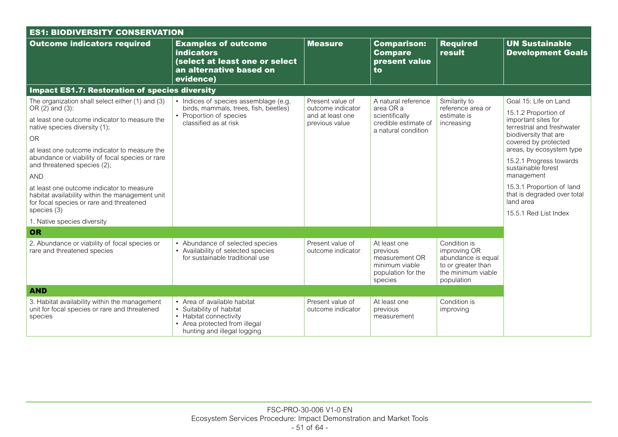| <b>ES1: BIODIVERSITY CONSERVATION</b>                                                                                                                   |                                                                                                                                                   |                                       |                                                                                               |                                                                                                              |                                                                       |  |  |
|---------------------------------------------------------------------------------------------------------------------------------------------------------|---------------------------------------------------------------------------------------------------------------------------------------------------|---------------------------------------|-----------------------------------------------------------------------------------------------|--------------------------------------------------------------------------------------------------------------|-----------------------------------------------------------------------|--|--|
| <b>Outcome indicators required</b>                                                                                                                      | <b>Examples of outcome</b><br><b>indicators</b><br>(select at least one or select<br>an alternative based on<br>evidence)                         | <b>Measure</b>                        | <b>Comparison:</b><br><b>Compare</b><br>present value<br>to                                   | <b>Required</b><br>result                                                                                    | <b>UN Sustainable</b><br><b>Development Goals</b>                     |  |  |
| <b>Impact ES1.7: Restoration of species diversity</b>                                                                                                   |                                                                                                                                                   |                                       |                                                                                               |                                                                                                              |                                                                       |  |  |
| The organization shall select either (1) and (3)<br>OR $(2)$ and $(3)$ :                                                                                | • Indices of species assemblage (e.g.<br>birds, mammals, trees, fish, beetles)                                                                    | Present value of<br>outcome indicator | A natural reference<br>area OR a                                                              | Similarity to<br>reference area or                                                                           | Goal 15: Life on Land<br>15.1.2 Proportion of                         |  |  |
| at least one outcome indicator to measure the<br>native species diversity (1);                                                                          | • Proportion of species<br>classified as at risk                                                                                                  | previous value                        | scientifically<br>and at least one<br>credible estimate of<br>a natural condition             | estimate is<br>increasing                                                                                    | important sites for<br>terrestrial and freshwater                     |  |  |
| <b>OR</b>                                                                                                                                               |                                                                                                                                                   |                                       |                                                                                               |                                                                                                              | biodiversity that are<br>covered by protected                         |  |  |
| at least one outcome indicator to measure the<br>abundance or viability of focal species or rare<br>and threatened species (2);                         |                                                                                                                                                   |                                       |                                                                                               |                                                                                                              | areas, by ecosystem type<br>15.2.1 Progress towards                   |  |  |
| <b>AND</b>                                                                                                                                              |                                                                                                                                                   |                                       |                                                                                               |                                                                                                              | sustainable forest<br>management                                      |  |  |
| at least one outcome indicator to measure<br>habitat availability within the management unit<br>for focal species or rare and threatened<br>species (3) |                                                                                                                                                   |                                       |                                                                                               |                                                                                                              | 15.3.1 Proportion of land<br>that is degraded over total<br>land area |  |  |
| 1. Native species diversity                                                                                                                             |                                                                                                                                                   |                                       |                                                                                               |                                                                                                              | 15.5.1 Red List Index                                                 |  |  |
| OR                                                                                                                                                      |                                                                                                                                                   |                                       |                                                                                               |                                                                                                              |                                                                       |  |  |
| 2. Abundance or viability of focal species or<br>rare and threatened species                                                                            | • Abundance of selected species<br>• Availability of selected species<br>for sustainable traditional use                                          | Present value of<br>outcome indicator | At least one<br>previous<br>measurement OR<br>minimum viable<br>population for the<br>species | Condition is<br>improving OR<br>abundance is equal<br>to or greater than<br>the minimum viable<br>population |                                                                       |  |  |
| <b>AND</b>                                                                                                                                              |                                                                                                                                                   |                                       |                                                                                               |                                                                                                              |                                                                       |  |  |
| 3. Habitat availability within the management<br>unit for focal species or rare and threatened<br>species                                               | • Area of available habitat<br>• Suitability of habitat<br>• Habitat connectivity<br>• Area protected from illegal<br>hunting and illegal logging | Present value of<br>outcome indicator | At least one<br>previous<br>measurement                                                       | Condition is<br>improving                                                                                    |                                                                       |  |  |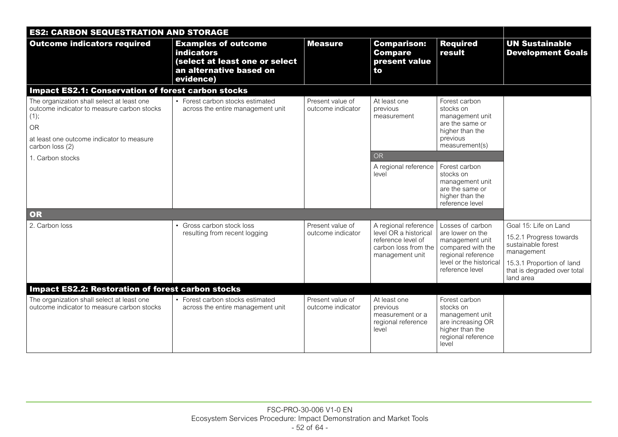| <b>ES2: CARBON SEQUESTRATION AND STORAGE</b>                                                                                                                           |                                                                                                                           |                                       |                                                                                                                |                                                                                                                                                  |                                                                                                                                                               |
|------------------------------------------------------------------------------------------------------------------------------------------------------------------------|---------------------------------------------------------------------------------------------------------------------------|---------------------------------------|----------------------------------------------------------------------------------------------------------------|--------------------------------------------------------------------------------------------------------------------------------------------------|---------------------------------------------------------------------------------------------------------------------------------------------------------------|
| <b>Outcome indicators required</b>                                                                                                                                     | <b>Examples of outcome</b><br><b>indicators</b><br>(select at least one or select<br>an alternative based on<br>evidence) | <b>Measure</b>                        | <b>Comparison:</b><br><b>Compare</b><br>present value<br>to                                                    | <b>Required</b><br>result                                                                                                                        | <b>UN Sustainable</b><br><b>Development Goals</b>                                                                                                             |
| <b>Impact ES2.1: Conservation of forest carbon stocks</b>                                                                                                              |                                                                                                                           |                                       |                                                                                                                |                                                                                                                                                  |                                                                                                                                                               |
| The organization shall select at least one<br>outcome indicator to measure carbon stocks<br>(1);<br>OR<br>at least one outcome indicator to measure<br>carbon loss (2) | • Forest carbon stocks estimated<br>across the entire management unit                                                     | Present value of<br>outcome indicator | At least one<br>previous<br>measurement                                                                        | Forest carbon<br>stocks on<br>management unit<br>are the same or<br>higher than the<br>previous<br>measurement(s)                                |                                                                                                                                                               |
| 1. Carbon stocks                                                                                                                                                       |                                                                                                                           |                                       | <b>OR</b>                                                                                                      |                                                                                                                                                  |                                                                                                                                                               |
|                                                                                                                                                                        |                                                                                                                           |                                       | A regional reference<br>level                                                                                  | Forest carbon<br>stocks on<br>management unit<br>are the same or<br>higher than the<br>reference level                                           |                                                                                                                                                               |
| OR                                                                                                                                                                     |                                                                                                                           |                                       |                                                                                                                |                                                                                                                                                  |                                                                                                                                                               |
| 2. Carbon loss                                                                                                                                                         | • Gross carbon stock loss<br>resulting from recent logging                                                                | Present value of<br>outcome indicator | A regional reference<br>level OR a historical<br>reference level of<br>carbon loss from the<br>management unit | Losses of carbon<br>are lower on the<br>management unit<br>compared with the<br>regional reference<br>level or the historical<br>reference level | Goal 15: Life on Land<br>15.2.1 Progress towards<br>sustainable forest<br>management<br>15.3.1 Proportion of land<br>that is degraded over total<br>land area |
| <b>Impact ES2.2: Restoration of forest carbon stocks</b>                                                                                                               |                                                                                                                           |                                       |                                                                                                                |                                                                                                                                                  |                                                                                                                                                               |
| The organization shall select at least one<br>outcome indicator to measure carbon stocks                                                                               | • Forest carbon stocks estimated<br>across the entire management unit                                                     | Present value of<br>outcome indicator | At least one<br>previous<br>measurement or a<br>regional reference<br>level                                    | Forest carbon<br>stocks on<br>management unit<br>are increasing OR<br>higher than the<br>regional reference<br>level                             |                                                                                                                                                               |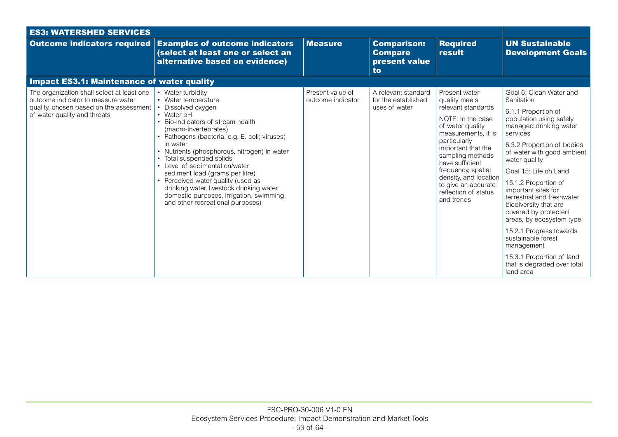| <b>ES3: WATERSHED SERVICES</b>                                                                                                                              |                                                                                                                                                                                                                                                                                                                                                                                                                                                                                                                             |                                       |                                                             |                                                                                                                                                                                                                                                                                                               |                                                                                                                                                                                                                                                                                                                                                                                                                                                                                                                                       |
|-------------------------------------------------------------------------------------------------------------------------------------------------------------|-----------------------------------------------------------------------------------------------------------------------------------------------------------------------------------------------------------------------------------------------------------------------------------------------------------------------------------------------------------------------------------------------------------------------------------------------------------------------------------------------------------------------------|---------------------------------------|-------------------------------------------------------------|---------------------------------------------------------------------------------------------------------------------------------------------------------------------------------------------------------------------------------------------------------------------------------------------------------------|---------------------------------------------------------------------------------------------------------------------------------------------------------------------------------------------------------------------------------------------------------------------------------------------------------------------------------------------------------------------------------------------------------------------------------------------------------------------------------------------------------------------------------------|
| <b>Outcome indicators required</b>                                                                                                                          | <b>Examples of outcome indicators</b><br>(select at least one or select an<br>alternative based on evidence)                                                                                                                                                                                                                                                                                                                                                                                                                | <b>Measure</b>                        | <b>Comparison:</b><br><b>Compare</b><br>present value<br>to | <b>Required</b><br>result                                                                                                                                                                                                                                                                                     | <b>UN Sustainable</b><br><b>Development Goals</b>                                                                                                                                                                                                                                                                                                                                                                                                                                                                                     |
| <b>Impact ES3.1: Maintenance of water quality</b>                                                                                                           |                                                                                                                                                                                                                                                                                                                                                                                                                                                                                                                             |                                       |                                                             |                                                                                                                                                                                                                                                                                                               |                                                                                                                                                                                                                                                                                                                                                                                                                                                                                                                                       |
| The organization shall select at least one<br>outcome indicator to measure water<br>quality, chosen based on the assessment<br>of water quality and threats | • Water turbidity<br>• Water temperature<br>Dissolved oxygen<br>• Water $pH$<br>• Bio-indicators of stream health<br>(macro-invertebrates)<br>• Pathogens (bacteria, e.g. E. coli; viruses)<br>in water<br>• Nutrients (phosphorous, nitrogen) in water<br>• Total suspended solids<br>• Level of sedimentation/water<br>sediment load (grams per litre)<br>• Perceived water quality (used as<br>drinking water, livestock drinking water,<br>domestic purposes, irrigation, swimming,<br>and other recreational purposes) | Present value of<br>outcome indicator | A relevant standard<br>for the established<br>uses of water | Present water<br>quality meets<br>relevant standards<br>NOTE: In the case<br>of water quality<br>measurements, it is<br>particularly<br>important that the<br>sampling methods<br>have sufficient<br>frequency, spatial<br>density, and location<br>to give an accurate<br>reflection of status<br>and trends | Goal 6: Clean Water and<br>Sanitation<br>6.1.1 Proportion of<br>population using safely<br>managed drinking water<br>services<br>6.3.2 Proportion of bodies<br>of water with good ambient<br>water quality<br>Goal 15: Life on Land<br>15.1.2 Proportion of<br>important sites for<br>terrestrial and freshwater<br>biodiversity that are<br>covered by protected<br>areas, by ecosystem type<br>15.2.1 Progress towards<br>sustainable forest<br>management<br>15.3.1 Proportion of land<br>that is degraded over total<br>land area |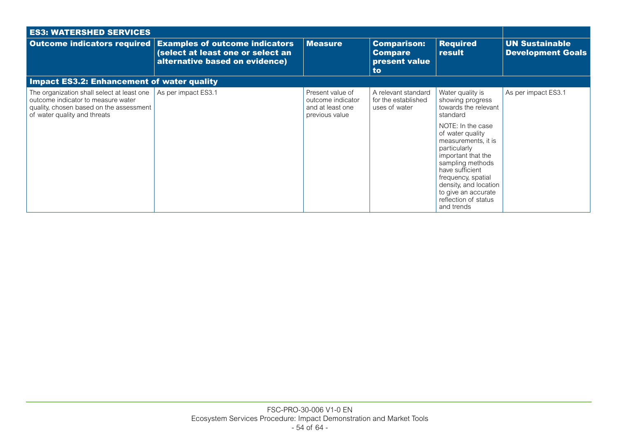| <b>ES3: WATERSHED SERVICES</b>                                                                                                                              |                                                                                                              |                                                                             |                                                             |                                                                                                                                                                                                                                                                                                                                   |                                                   |
|-------------------------------------------------------------------------------------------------------------------------------------------------------------|--------------------------------------------------------------------------------------------------------------|-----------------------------------------------------------------------------|-------------------------------------------------------------|-----------------------------------------------------------------------------------------------------------------------------------------------------------------------------------------------------------------------------------------------------------------------------------------------------------------------------------|---------------------------------------------------|
| <b>Outcome indicators required</b>                                                                                                                          | <b>Examples of outcome indicators</b><br>(select at least one or select an<br>alternative based on evidence) | <b>Measure</b>                                                              | <b>Comparison:</b><br><b>Compare</b><br>present value<br>to | <b>Required</b><br>result                                                                                                                                                                                                                                                                                                         | <b>UN Sustainable</b><br><b>Development Goals</b> |
| <b>Impact ES3.2: Enhancement of water quality</b>                                                                                                           |                                                                                                              |                                                                             |                                                             |                                                                                                                                                                                                                                                                                                                                   |                                                   |
| The organization shall select at least one<br>outcome indicator to measure water<br>quality, chosen based on the assessment<br>of water quality and threats | As per impact ES3.1                                                                                          | Present value of<br>outcome indicator<br>and at least one<br>previous value | A relevant standard<br>for the established<br>uses of water | Water quality is<br>showing progress<br>towards the relevant<br>standard<br>NOTE: In the case<br>of water quality<br>measurements, it is<br>particularly<br>important that the<br>sampling methods<br>have sufficient<br>frequency, spatial<br>density, and location<br>to give an accurate<br>reflection of status<br>and trends | As per impact ES3.1                               |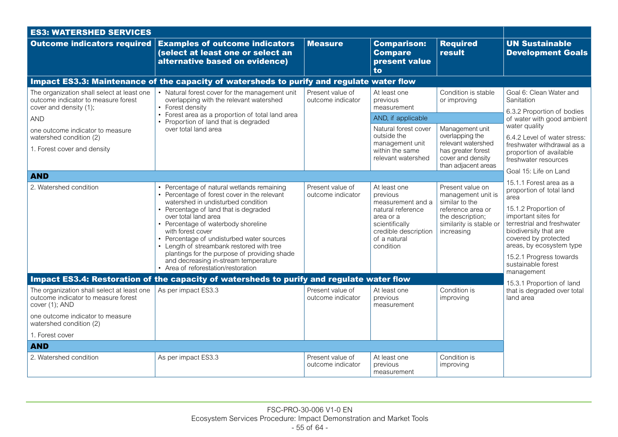| <b>ES3: WATERSHED SERVICES</b>                                                                                                          |                                                                                                                                                                                                                                                                                                                                                                                                                                                                                        |                                       |                                                                                                                                                        |                                                                                                                                            |                                                                                                                                                                                                                                                                                      |  |
|-----------------------------------------------------------------------------------------------------------------------------------------|----------------------------------------------------------------------------------------------------------------------------------------------------------------------------------------------------------------------------------------------------------------------------------------------------------------------------------------------------------------------------------------------------------------------------------------------------------------------------------------|---------------------------------------|--------------------------------------------------------------------------------------------------------------------------------------------------------|--------------------------------------------------------------------------------------------------------------------------------------------|--------------------------------------------------------------------------------------------------------------------------------------------------------------------------------------------------------------------------------------------------------------------------------------|--|
| <b>Outcome indicators required</b>                                                                                                      | <b>Examples of outcome indicators</b><br>(select at least one or select an<br>alternative based on evidence)                                                                                                                                                                                                                                                                                                                                                                           | <b>Measure</b>                        | <b>Comparison:</b><br><b>Compare</b><br>present value<br>to                                                                                            | <b>Required</b><br>result                                                                                                                  | <b>UN Sustainable</b><br><b>Development Goals</b>                                                                                                                                                                                                                                    |  |
|                                                                                                                                         | Impact ES3.3: Maintenance of the capacity of watersheds to purify and regulate water flow                                                                                                                                                                                                                                                                                                                                                                                              |                                       |                                                                                                                                                        |                                                                                                                                            |                                                                                                                                                                                                                                                                                      |  |
| The organization shall select at least one<br>outcome indicator to measure forest<br>cover and density (1);                             | • Natural forest cover for the management unit<br>overlapping with the relevant watershed<br>• Forest density                                                                                                                                                                                                                                                                                                                                                                          | Present value of<br>outcome indicator | At least one<br>previous<br>measurement                                                                                                                | Condition is stable<br>or improving                                                                                                        | Goal 6: Clean Water and<br>Sanitation<br>6.3.2 Proportion of bodies                                                                                                                                                                                                                  |  |
| <b>AND</b>                                                                                                                              | Forest area as a proportion of total land area<br>$\bullet$<br>• Proportion of land that is degraded                                                                                                                                                                                                                                                                                                                                                                                   |                                       | AND, if applicable                                                                                                                                     |                                                                                                                                            | of water with good ambient                                                                                                                                                                                                                                                           |  |
| one outcome indicator to measure<br>watershed condition (2)<br>1. Forest cover and density                                              | over total land area                                                                                                                                                                                                                                                                                                                                                                                                                                                                   |                                       | Natural forest cover<br>outside the<br>management unit<br>within the same<br>relevant watershed                                                        | Management unit<br>overlapping the<br>relevant watershed<br>has greater forest<br>cover and density<br>than adjacent areas                 | water quality<br>6.4.2 Level of water stress:<br>freshwater withdrawal as a<br>proportion of available<br>freshwater resources                                                                                                                                                       |  |
| <b>AND</b>                                                                                                                              |                                                                                                                                                                                                                                                                                                                                                                                                                                                                                        |                                       |                                                                                                                                                        |                                                                                                                                            | Goal 15: Life on Land                                                                                                                                                                                                                                                                |  |
| 2. Watershed condition                                                                                                                  | • Percentage of natural wetlands remaining<br>• Percentage of forest cover in the relevant<br>watershed in undisturbed condition<br>• Percentage of land that is degraded<br>over total land area<br>• Percentage of waterbody shoreline<br>with forest cover<br>• Percentage of undisturbed water sources<br>• Length of streambank restored with tree<br>plantings for the purpose of providing shade<br>and decreasing in-stream temperature<br>• Area of reforestation/restoration | Present value of<br>outcome indicator | At least one<br>previous<br>measurement and a<br>natural reference<br>area or a<br>scientifically<br>credible description<br>of a natural<br>condition | Present value on<br>management unit is<br>similar to the<br>reference area or<br>the description;<br>similarity is stable or<br>increasing | 15.1.1 Forest area as a<br>proportion of total land<br>area<br>15.1.2 Proportion of<br>important sites for<br>terrestrial and freshwater<br>biodiversity that are<br>covered by protected<br>areas, by ecosystem type<br>15.2.1 Progress towards<br>sustainable forest<br>management |  |
|                                                                                                                                         | Impact ES3.4: Restoration of the capacity of watersheds to purify and regulate water flow                                                                                                                                                                                                                                                                                                                                                                                              |                                       |                                                                                                                                                        |                                                                                                                                            | 15.3.1 Proportion of land                                                                                                                                                                                                                                                            |  |
| The organization shall select at least one<br>outcome indicator to measure forest<br>cover (1); AND<br>one outcome indicator to measure | As per impact ES3.3                                                                                                                                                                                                                                                                                                                                                                                                                                                                    | Present value of<br>outcome indicator | At least one<br>previous<br>measurement                                                                                                                | Condition is<br>improving                                                                                                                  | that is degraded over total<br>land area                                                                                                                                                                                                                                             |  |
| watershed condition (2)                                                                                                                 |                                                                                                                                                                                                                                                                                                                                                                                                                                                                                        |                                       |                                                                                                                                                        |                                                                                                                                            |                                                                                                                                                                                                                                                                                      |  |
| 1. Forest cover                                                                                                                         |                                                                                                                                                                                                                                                                                                                                                                                                                                                                                        |                                       |                                                                                                                                                        |                                                                                                                                            |                                                                                                                                                                                                                                                                                      |  |
| <b>AND</b>                                                                                                                              |                                                                                                                                                                                                                                                                                                                                                                                                                                                                                        |                                       |                                                                                                                                                        |                                                                                                                                            |                                                                                                                                                                                                                                                                                      |  |
| 2. Watershed condition                                                                                                                  | As per impact ES3.3                                                                                                                                                                                                                                                                                                                                                                                                                                                                    | Present value of<br>outcome indicator | At least one<br>previous<br>measurement                                                                                                                | Condition is<br>improving                                                                                                                  |                                                                                                                                                                                                                                                                                      |  |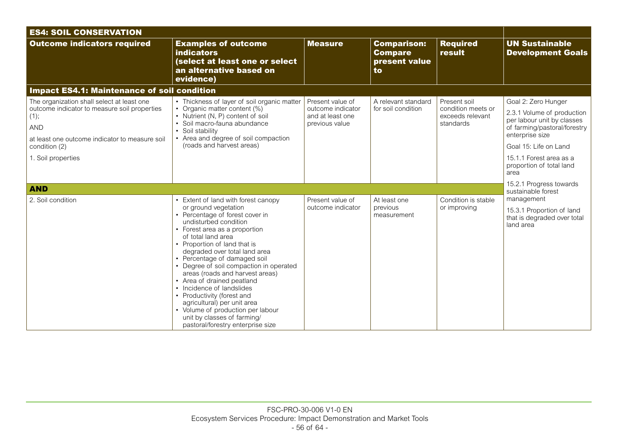| <b>ES4: SOIL CONSERVATION</b>                                                                                                                                                                      |                                                                                                                                                                                                                                                                                                                                                                                                                                                                                                                                                                                              |                                                                             |                                                             |                                                                     |                                                                                                                                                                                                                            |
|----------------------------------------------------------------------------------------------------------------------------------------------------------------------------------------------------|----------------------------------------------------------------------------------------------------------------------------------------------------------------------------------------------------------------------------------------------------------------------------------------------------------------------------------------------------------------------------------------------------------------------------------------------------------------------------------------------------------------------------------------------------------------------------------------------|-----------------------------------------------------------------------------|-------------------------------------------------------------|---------------------------------------------------------------------|----------------------------------------------------------------------------------------------------------------------------------------------------------------------------------------------------------------------------|
| <b>Outcome indicators required</b>                                                                                                                                                                 | <b>Examples of outcome</b><br><b>indicators</b><br>(select at least one or select<br>an alternative based on<br>evidence)                                                                                                                                                                                                                                                                                                                                                                                                                                                                    | <b>Measure</b>                                                              | <b>Comparison:</b><br><b>Compare</b><br>present value<br>to | <b>Required</b><br>result                                           | <b>UN Sustainable</b><br><b>Development Goals</b>                                                                                                                                                                          |
| <b>Impact ES4.1: Maintenance of soil condition</b>                                                                                                                                                 |                                                                                                                                                                                                                                                                                                                                                                                                                                                                                                                                                                                              |                                                                             |                                                             |                                                                     |                                                                                                                                                                                                                            |
| The organization shall select at least one<br>outcome indicator to measure soil properties<br>(1);<br>AND<br>at least one outcome indicator to measure soil<br>condition (2)<br>1. Soil properties | • Thickness of layer of soil organic matter<br>• Organic matter content (%)<br>• Nutrient (N, P) content of soil<br>• Soil macro-fauna abundance<br>• Soil stability<br>• Area and degree of soil compaction<br>(roads and harvest areas)                                                                                                                                                                                                                                                                                                                                                    | Present value of<br>outcome indicator<br>and at least one<br>previous value | A relevant standard<br>for soil condition                   | Present soil<br>condition meets or<br>exceeds relevant<br>standards | Goal 2: Zero Hunger<br>2.3.1 Volume of production<br>per labour unit by classes<br>of farming/pastoral/forestry<br>enterprise size<br>Goal 15: Life on Land<br>15.1.1 Forest area as a<br>proportion of total land<br>area |
| <b>AND</b>                                                                                                                                                                                         |                                                                                                                                                                                                                                                                                                                                                                                                                                                                                                                                                                                              |                                                                             |                                                             |                                                                     | 15.2.1 Progress towards<br>sustainable forest                                                                                                                                                                              |
| 2. Soil condition                                                                                                                                                                                  | Extent of land with forest canopy<br>or ground vegetation<br>• Percentage of forest cover in<br>undisturbed condition<br>• Forest area as a proportion<br>of total land area<br>• Proportion of land that is<br>degraded over total land area<br>• Percentage of damaged soil<br>• Degree of soil compaction in operated<br>areas (roads and harvest areas)<br>• Area of drained peatland<br>• Incidence of landslides<br>• Productivity (forest and<br>agricultural) per unit area<br>• Volume of production per labour<br>unit by classes of farming/<br>pastoral/forestry enterprise size | Present value of<br>outcome indicator                                       | At least one<br>previous<br>measurement                     | Condition is stable<br>or improving                                 | management<br>15.3.1 Proportion of land<br>that is degraded over total<br>land area                                                                                                                                        |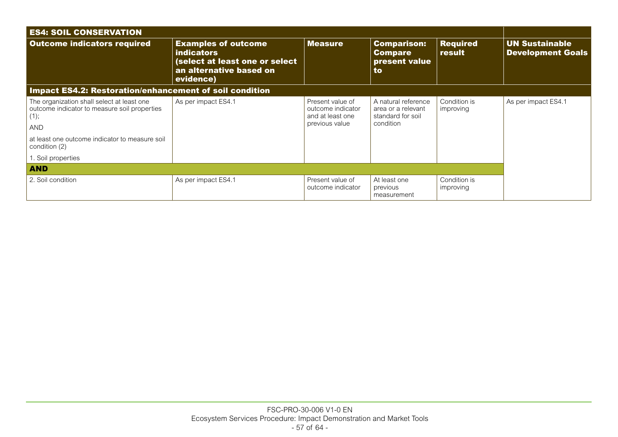| <b>ES4: SOIL CONSERVATION</b>                                                                                                                                                       |                                                                                                                           |                                                                             |                                                                             |                           |                                                   |
|-------------------------------------------------------------------------------------------------------------------------------------------------------------------------------------|---------------------------------------------------------------------------------------------------------------------------|-----------------------------------------------------------------------------|-----------------------------------------------------------------------------|---------------------------|---------------------------------------------------|
| <b>Outcome indicators required</b>                                                                                                                                                  | <b>Examples of outcome</b><br><b>indicators</b><br>(select at least one or select<br>an alternative based on<br>evidence) | <b>Measure</b>                                                              | <b>Comparison:</b><br><b>Compare</b><br>present value<br>to                 | <b>Required</b><br>result | <b>UN Sustainable</b><br><b>Development Goals</b> |
| Impact ES4.2: Restoration/enhancement of soil condition                                                                                                                             |                                                                                                                           |                                                                             |                                                                             |                           |                                                   |
| The organization shall select at least one<br>outcome indicator to measure soil properties<br>(1);<br><b>AND</b><br>at least one outcome indicator to measure soil<br>condition (2) | As per impact ES4.1                                                                                                       | Present value of<br>outcome indicator<br>and at least one<br>previous value | A natural reference<br>area or a relevant<br>standard for soil<br>condition | Condition is<br>improving | As per impact ES4.1                               |
| 1. Soil properties                                                                                                                                                                  |                                                                                                                           |                                                                             |                                                                             |                           |                                                   |
| <b>AND</b>                                                                                                                                                                          |                                                                                                                           |                                                                             |                                                                             |                           |                                                   |
| 2. Soil condition                                                                                                                                                                   | As per impact ES4.1                                                                                                       | Present value of<br>outcome indicator                                       | At least one<br>previous<br>measurement                                     | Condition is<br>improving |                                                   |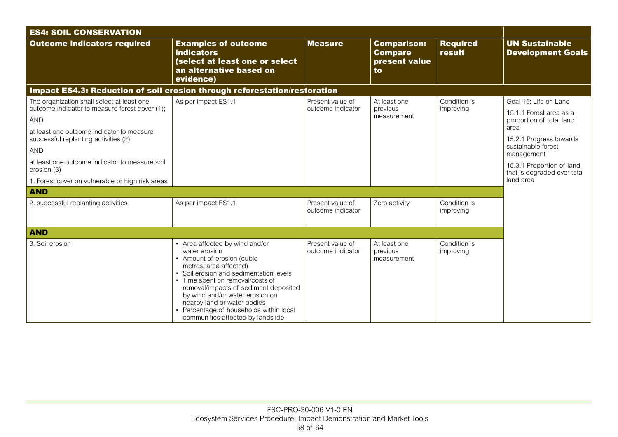| <b>ES4: SOIL CONSERVATION</b>                                                                                                                                                                                                                                                                                                                    |                                                                                                                                                                                                                                                                                                                                                                                 |                                       |                                                             |                           |                                                                                                                                                                                                                              |
|--------------------------------------------------------------------------------------------------------------------------------------------------------------------------------------------------------------------------------------------------------------------------------------------------------------------------------------------------|---------------------------------------------------------------------------------------------------------------------------------------------------------------------------------------------------------------------------------------------------------------------------------------------------------------------------------------------------------------------------------|---------------------------------------|-------------------------------------------------------------|---------------------------|------------------------------------------------------------------------------------------------------------------------------------------------------------------------------------------------------------------------------|
| <b>Outcome indicators required</b>                                                                                                                                                                                                                                                                                                               | <b>Examples of outcome</b><br><b>indicators</b><br>(select at least one or select<br>an alternative based on<br>evidence)                                                                                                                                                                                                                                                       | <b>Measure</b>                        | <b>Comparison:</b><br><b>Compare</b><br>present value<br>to | <b>Required</b><br>result | <b>UN Sustainable</b><br><b>Development Goals</b>                                                                                                                                                                            |
| Impact ES4.3: Reduction of soil erosion through reforestation/restoration                                                                                                                                                                                                                                                                        |                                                                                                                                                                                                                                                                                                                                                                                 |                                       |                                                             |                           |                                                                                                                                                                                                                              |
| The organization shall select at least one<br>outcome indicator to measure forest cover (1);<br><b>AND</b><br>at least one outcome indicator to measure<br>successful replanting activities (2)<br><b>AND</b><br>at least one outcome indicator to measure soil<br>erosion (3)<br>1. Forest cover on vulnerable or high risk areas<br><b>AND</b> | As per impact ES1.1                                                                                                                                                                                                                                                                                                                                                             | Present value of<br>outcome indicator | At least one<br>previous<br>measurement                     | Condition is<br>improving | Goal 15: Life on Land<br>15.1.1 Forest area as a<br>proportion of total land<br>area<br>15.2.1 Progress towards<br>sustainable forest<br>management<br>15.3.1 Proportion of land<br>that is degraded over total<br>land area |
| 2. successful replanting activities                                                                                                                                                                                                                                                                                                              | As per impact ES1.1                                                                                                                                                                                                                                                                                                                                                             | Present value of<br>outcome indicator | Zero activity                                               | Condition is<br>improving |                                                                                                                                                                                                                              |
| <b>AND</b>                                                                                                                                                                                                                                                                                                                                       |                                                                                                                                                                                                                                                                                                                                                                                 |                                       |                                                             |                           |                                                                                                                                                                                                                              |
| 3. Soil erosion                                                                                                                                                                                                                                                                                                                                  | • Area affected by wind and/or<br>water erosion<br>• Amount of erosion (cubic<br>metres, area affected)<br>• Soil erosion and sedimentation levels<br>• Time spent on removal/costs of<br>removal/impacts of sediment deposited<br>by wind and/or water erosion on<br>nearby land or water bodies<br>Percentage of households within local<br>communities affected by landslide | Present value of<br>outcome indicator | At least one<br>previous<br>measurement                     | Condition is<br>improving |                                                                                                                                                                                                                              |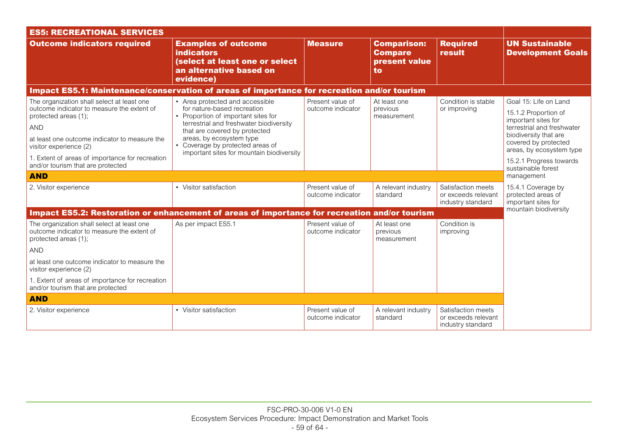| <b>ES5: RECREATIONAL SERVICES</b>                                                                                                                                                                                                                                                                 |                                                                                                                                                                                                                                                                                                |                                       |                                                             |                                                                |                                                                                                                                                                                                            |
|---------------------------------------------------------------------------------------------------------------------------------------------------------------------------------------------------------------------------------------------------------------------------------------------------|------------------------------------------------------------------------------------------------------------------------------------------------------------------------------------------------------------------------------------------------------------------------------------------------|---------------------------------------|-------------------------------------------------------------|----------------------------------------------------------------|------------------------------------------------------------------------------------------------------------------------------------------------------------------------------------------------------------|
| <b>Outcome indicators required</b>                                                                                                                                                                                                                                                                | <b>Examples of outcome</b><br><b>indicators</b><br>(select at least one or select<br>an alternative based on<br>evidence)                                                                                                                                                                      | <b>Measure</b>                        | <b>Comparison:</b><br><b>Compare</b><br>present value<br>to | <b>Required</b><br>result                                      | <b>UN Sustainable</b><br><b>Development Goals</b>                                                                                                                                                          |
| Impact ES5.1: Maintenance/conservation of areas of importance for recreation and/or tourism                                                                                                                                                                                                       |                                                                                                                                                                                                                                                                                                |                                       |                                                             |                                                                |                                                                                                                                                                                                            |
| The organization shall select at least one<br>outcome indicator to measure the extent of<br>protected areas (1);<br><b>AND</b><br>at least one outcome indicator to measure the<br>visitor experience (2)<br>1. Extent of areas of importance for recreation<br>and/or tourism that are protected | • Area protected and accessible<br>for nature-based recreation<br>• Proportion of important sites for<br>terrestrial and freshwater biodiversity<br>that are covered by protected<br>areas, by ecosystem type<br>• Coverage by protected areas of<br>important sites for mountain biodiversity | Present value of<br>outcome indicator | At least one<br>previous<br>measurement                     | Condition is stable<br>or improving                            | Goal 15: Life on Land<br>15.1.2 Proportion of<br>important sites for<br>terrestrial and freshwater<br>biodiversity that are<br>covered by protected<br>areas, by ecosystem type<br>15.2.1 Progress towards |
| <b>AND</b>                                                                                                                                                                                                                                                                                        |                                                                                                                                                                                                                                                                                                |                                       |                                                             |                                                                | sustainable forest<br>management                                                                                                                                                                           |
| 2. Visitor experience                                                                                                                                                                                                                                                                             | • Visitor satisfaction                                                                                                                                                                                                                                                                         | Present value of<br>outcome indicator | A relevant industry<br>standard                             | Satisfaction meets<br>or exceeds relevant<br>industry standard | 15.4.1 Coverage by<br>protected areas of<br>important sites for                                                                                                                                            |
| Impact ES5.2: Restoration or enhancement of areas of importance for recreation and/or tourism                                                                                                                                                                                                     |                                                                                                                                                                                                                                                                                                |                                       |                                                             |                                                                | mountain biodiversity                                                                                                                                                                                      |
| The organization shall select at least one<br>outcome indicator to measure the extent of<br>protected areas (1);<br><b>AND</b>                                                                                                                                                                    | As per impact ES5.1                                                                                                                                                                                                                                                                            | Present value of<br>outcome indicator | At least one<br>previous<br>measurement                     | Condition is<br>improving                                      |                                                                                                                                                                                                            |
| at least one outcome indicator to measure the<br>visitor experience (2)                                                                                                                                                                                                                           |                                                                                                                                                                                                                                                                                                |                                       |                                                             |                                                                |                                                                                                                                                                                                            |
| 1. Extent of areas of importance for recreation<br>and/or tourism that are protected                                                                                                                                                                                                              |                                                                                                                                                                                                                                                                                                |                                       |                                                             |                                                                |                                                                                                                                                                                                            |
| <b>AND</b>                                                                                                                                                                                                                                                                                        |                                                                                                                                                                                                                                                                                                |                                       |                                                             |                                                                |                                                                                                                                                                                                            |
| 2. Visitor experience                                                                                                                                                                                                                                                                             | • Visitor satisfaction                                                                                                                                                                                                                                                                         | Present value of<br>outcome indicator | A relevant industry<br>standard                             | Satisfaction meets<br>or exceeds relevant<br>industry standard |                                                                                                                                                                                                            |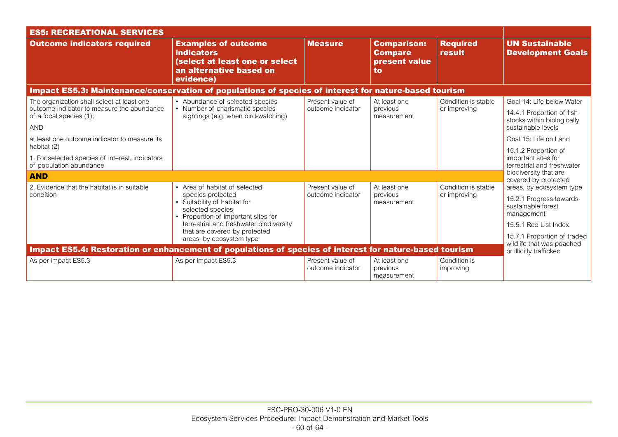| <b>ES5: RECREATIONAL SERVICES</b>                                                                                                 |                                                                                                                                               |                                       |                                                             |                                     |                                                                                                            |
|-----------------------------------------------------------------------------------------------------------------------------------|-----------------------------------------------------------------------------------------------------------------------------------------------|---------------------------------------|-------------------------------------------------------------|-------------------------------------|------------------------------------------------------------------------------------------------------------|
| <b>Outcome indicators required</b>                                                                                                | <b>Examples of outcome</b><br><b>indicators</b><br>(select at least one or select<br>an alternative based on<br>evidence)                     | <b>Measure</b>                        | <b>Comparison:</b><br><b>Compare</b><br>present value<br>to | <b>Required</b><br>result           | <b>UN Sustainable</b><br><b>Development Goals</b>                                                          |
| Impact ES5.3: Maintenance/conservation of populations of species of interest for nature-based tourism                             |                                                                                                                                               |                                       |                                                             |                                     |                                                                                                            |
| The organization shall select at least one<br>outcome indicator to measure the abundance<br>of a focal species (1);<br><b>AND</b> | • Abundance of selected species<br>• Number of charismatic species<br>sightings (e.g. when bird-watching)                                     | Present value of<br>outcome indicator | At least one<br>previous<br>measurement                     | Condition is stable<br>or improving | Goal 14: Life below Water<br>14.4.1 Proportion of fish<br>stocks within biologically<br>sustainable levels |
| at least one outcome indicator to measure its<br>habitat (2)                                                                      |                                                                                                                                               |                                       |                                                             |                                     | Goal 15: Life on Land                                                                                      |
| 1. For selected species of interest, indicators<br>of population abundance                                                        |                                                                                                                                               |                                       |                                                             |                                     | 15.1.2 Proportion of<br>important sites for<br>terrestrial and freshwater                                  |
| <b>AND</b>                                                                                                                        |                                                                                                                                               |                                       |                                                             |                                     | biodiversity that are<br>covered by protected                                                              |
| 2. Evidence that the habitat is in suitable<br>condition                                                                          | • Area of habitat of selected<br>species protected<br>• Suitability of habitat for<br>selected species<br>• Proportion of important sites for | Present value of<br>outcome indicator | At least one<br>previous<br>measurement                     | Condition is stable<br>or improving | areas, by ecosystem type<br>15.2.1 Progress towards<br>sustainable forest<br>management                    |
|                                                                                                                                   | terrestrial and freshwater biodiversity<br>that are covered by protected                                                                      |                                       |                                                             |                                     | 15.5.1 Red List Index                                                                                      |
| Impact ES5.4: Restoration or enhancement of populations of species of interest for nature-based tourism                           | areas, by ecosystem type                                                                                                                      |                                       |                                                             |                                     | 15.7.1 Proportion of traded<br>wildlife that was poached<br>or illicitly trafficked                        |
| As per impact ES5.3                                                                                                               | As per impact ES5.3                                                                                                                           | Present value of<br>outcome indicator | At least one<br>previous<br>measurement                     | Condition is<br>improving           |                                                                                                            |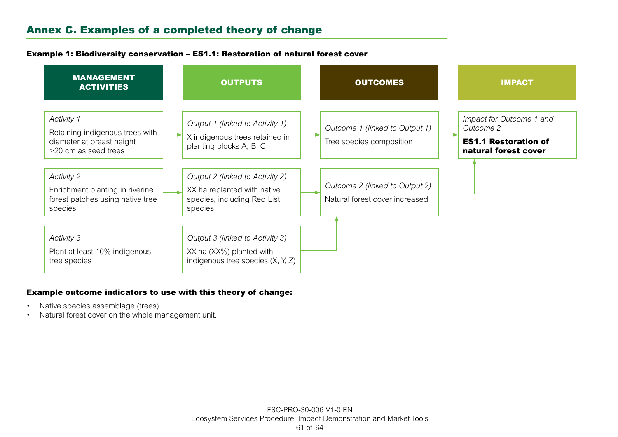# Annex C. Examples of a completed theory of change

#### Example 1: Biodiversity conservation – ES1.1: Restoration of natural forest cover

| <b>MANAGEMENT</b><br><b>ACTIVITIES</b>                                                             | <b>OUTPUTS</b>                                                                                           | <b>OUTCOMES</b>                                                  | <b>IMPACT</b>                                                                                |
|----------------------------------------------------------------------------------------------------|----------------------------------------------------------------------------------------------------------|------------------------------------------------------------------|----------------------------------------------------------------------------------------------|
| Activity 1<br>Retaining indigenous trees with<br>diameter at breast height<br>>20 cm as seed trees | Output 1 (linked to Activity 1)<br>X indigenous trees retained in<br>planting blocks A, B, C             | Outcome 1 (linked to Output 1)<br>Tree species composition       | Impact for Outcome 1 and<br>Outcome 2<br><b>ES1.1 Restoration of</b><br>natural forest cover |
| Activity 2<br>Enrichment planting in riverine<br>forest patches using native tree<br>species       | Output 2 (linked to Activity 2)<br>XX ha replanted with native<br>species, including Red List<br>species | Outcome 2 (linked to Output 2)<br>Natural forest cover increased |                                                                                              |
| Activity 3<br>Plant at least 10% indigenous<br>tree species                                        | Output 3 (linked to Activity 3)<br>XX ha (XX%) planted with<br>indigenous tree species $(X, Y, Z)$       |                                                                  |                                                                                              |

#### Example outcome indicators to use with this theory of change:

- Native species assemblage (trees)
- Natural forest cover on the whole management unit.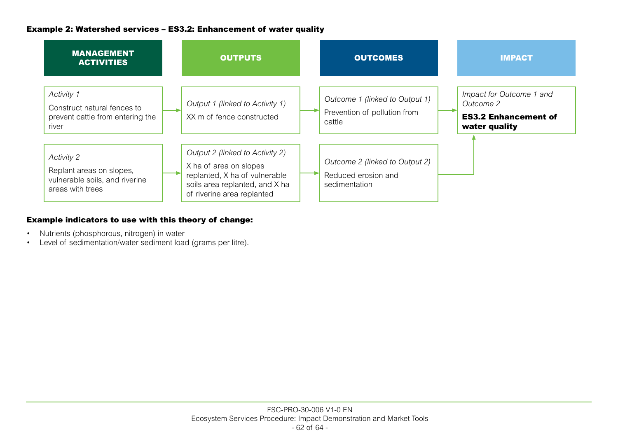## Example 2: Watershed services – ES3.2: Enhancement of water quality



## Example indicators to use with this theory of change:

- Nutrients (phosphorous, nitrogen) in water
- Level of sedimentation/water sediment load (grams per litre).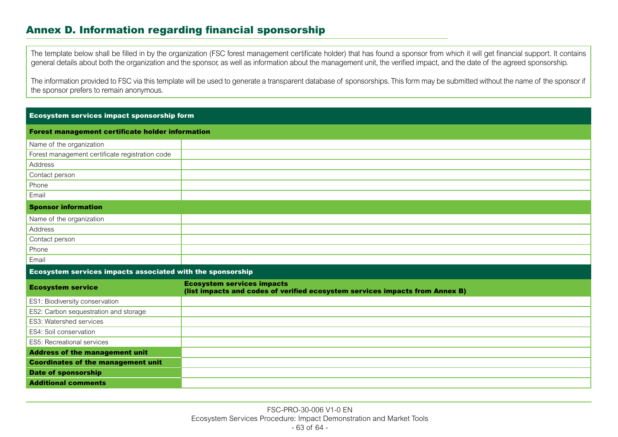# Annex D. Information regarding financial sponsorship

The template below shall be filled in by the organization (FSC forest management certificate holder) that has found a sponsor from which it will get financial support. It contains general details about both the organization and the sponsor, as well as information about the management unit, the verified impact, and the date of the agreed sponsorship.

The information provided to FSC via this template will be used to generate a transparent database of sponsorships. This form may be submitted without the name of the sponsor if the sponsor prefers to remain anonymous.

#### Ecosystem services impact sponsorship form

Phone Email

| Forest management certificate holder information |  |
|--------------------------------------------------|--|
| Name of the organization                         |  |
| Forest management certificate registration code  |  |
| Address                                          |  |
| Contact person                                   |  |
| Phone                                            |  |
| Email                                            |  |
| <b>Sponsor information</b>                       |  |
| Name of the organization                         |  |
| Address                                          |  |
| Contact person                                   |  |

#### Ecosystem services impacts associated with the sponsorship

| <b>Ecosystem service</b>                  | <b>Ecosystem services impacts</b><br>(list impacts and codes of verified ecosystem services impacts from Annex B) |
|-------------------------------------------|-------------------------------------------------------------------------------------------------------------------|
| <b>ES1: Biodiversity conservation</b>     |                                                                                                                   |
| ES2: Carbon sequestration and storage     |                                                                                                                   |
| <b>ES3: Watershed services</b>            |                                                                                                                   |
| ES4: Soil conservation                    |                                                                                                                   |
| <b>ES5: Recreational services</b>         |                                                                                                                   |
| <b>Address of the management unit</b>     |                                                                                                                   |
| <b>Coordinates of the management unit</b> |                                                                                                                   |
| <b>Date of sponsorship</b>                |                                                                                                                   |
| <b>Additional comments</b>                |                                                                                                                   |